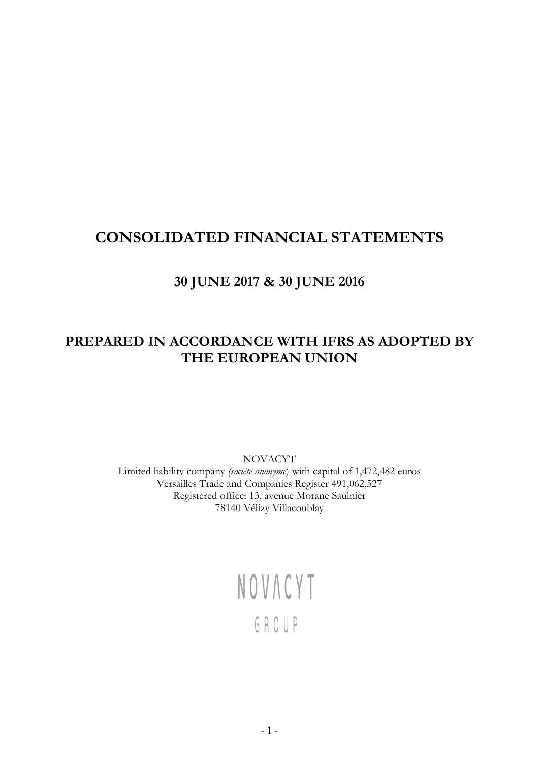## **CONSOLIDATED FINANCIAL STATEMENTS**

## **30 JUNE 2017 & 30 JUNE 2016**

## **PREPARED IN ACCORDANCE WITH IFRS AS ADOPTED BY THE EUROPEAN UNION**

NOVACYT

Limited liability company *(société anonyme*) with capital of 1,472,482 euros Versailles Trade and Companies Register 491,062,527 Registered office: 13, avenue Morane Saulnier 78140 Vélizy Villacoublay

# NOVACYT GROUP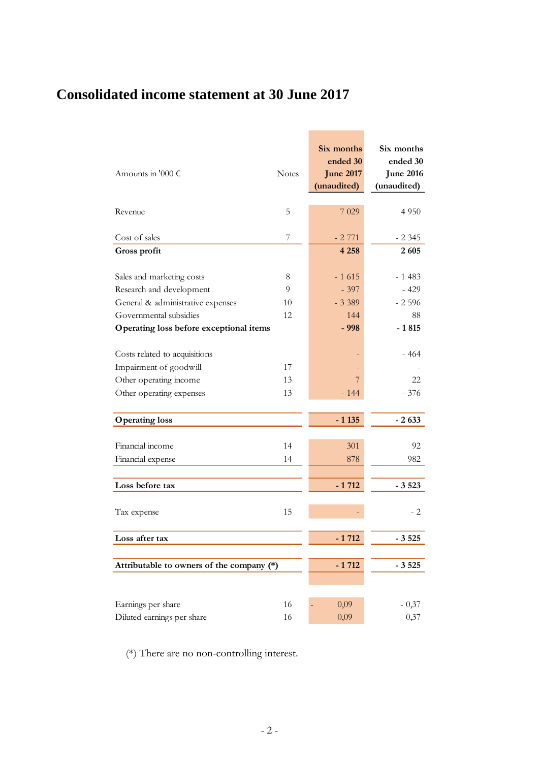## **Consolidated income statement at 30 June 2017**

| Amounts in '000 $\epsilon$                                                                                                                                      | <b>Notes</b>       | Six months<br>ended 30<br><b>June 2017</b><br>(unaudited) | Six months<br>ended 30<br><b>June 2016</b><br>(unaudited) |
|-----------------------------------------------------------------------------------------------------------------------------------------------------------------|--------------------|-----------------------------------------------------------|-----------------------------------------------------------|
| Revenue                                                                                                                                                         | 5                  | 7 0 29                                                    | 4 9 5 0                                                   |
| Cost of sales                                                                                                                                                   | 7                  | $-2771$                                                   | $-2345$                                                   |
| Gross profit                                                                                                                                                    |                    | 4 2 5 8                                                   | 2605                                                      |
| Sales and marketing costs<br>Research and development<br>General & administrative expenses<br>Governmental subsidies<br>Operating loss before exceptional items | 8<br>9<br>10<br>12 | $-1615$<br>$-397$<br>$-3389$<br>144<br>$-998$             | $-1483$<br>$-429$<br>$-2596$<br>88<br>$-1815$             |
| Costs related to acquisitions                                                                                                                                   |                    |                                                           | - 464                                                     |
| Impairment of goodwill                                                                                                                                          | 17                 |                                                           |                                                           |
| Other operating income                                                                                                                                          | 13                 | 7                                                         | 22                                                        |
| Other operating expenses                                                                                                                                        | 13                 | $-144$                                                    | $-376$                                                    |
| <b>Operating loss</b>                                                                                                                                           |                    | $-1135$                                                   | $-2633$                                                   |
| Financial income                                                                                                                                                | 14                 | 301                                                       | 92                                                        |
| Financial expense                                                                                                                                               | 14                 | $-878$                                                    | $-982$                                                    |
|                                                                                                                                                                 |                    |                                                           |                                                           |
| Loss before tax                                                                                                                                                 |                    | $-1712$                                                   | $-3523$                                                   |
| Tax expense                                                                                                                                                     | 15                 |                                                           | $-2$                                                      |
| Loss after tax                                                                                                                                                  |                    | $-1712$                                                   | $-3525$                                                   |
| Attributable to owners of the company (*)                                                                                                                       |                    | $-1712$                                                   | $-3525$                                                   |
| Earnings per share                                                                                                                                              | 16                 | 0,09                                                      | $-0,37$                                                   |
| Diluted earnings per share                                                                                                                                      | 16                 | 0,09                                                      | $-0,37$                                                   |

(\*) There are no non-controlling interest.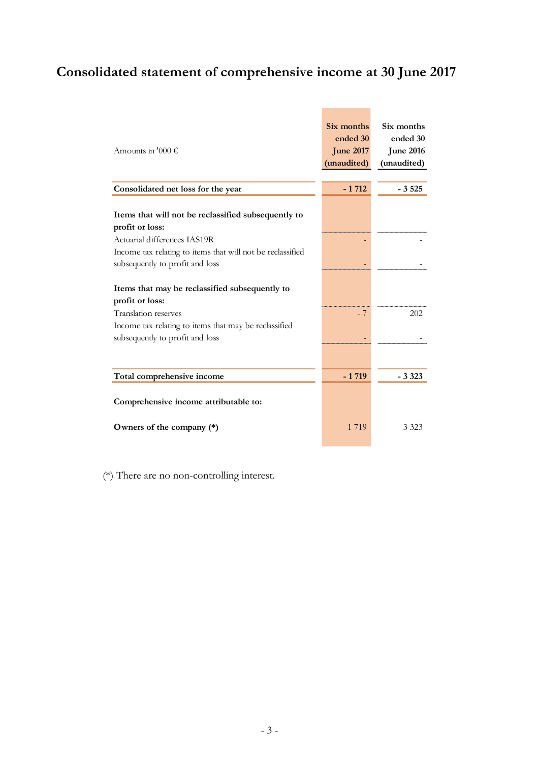## **Consolidated statement of comprehensive income at 30 June 2017**

| Amounts in '000 $\epsilon$                                                                                                                                                                              | Six months<br>ended 30<br><b>June 2017</b><br>(unaudited) | Six months<br>ended 30<br><b>June 2016</b><br>(unaudited) |
|---------------------------------------------------------------------------------------------------------------------------------------------------------------------------------------------------------|-----------------------------------------------------------|-----------------------------------------------------------|
| Consolidated net loss for the year                                                                                                                                                                      | $-1712$                                                   | $-3525$                                                   |
| Items that will not be reclassified subsequently to<br>profit or loss:<br>Actuarial differences IAS19R<br>Income tax relating to items that will not be reclassified<br>subsequently to profit and loss |                                                           |                                                           |
| Items that may be reclassified subsequently to<br>profit or loss:                                                                                                                                       |                                                           |                                                           |
| Translation reserves<br>Income tax relating to items that may be reclassified<br>subsequently to profit and loss                                                                                        | - 7                                                       | 202                                                       |
| Total comprehensive income                                                                                                                                                                              | $-1719$                                                   | $-3323$                                                   |
| Comprehensive income attributable to:<br>Owners of the company $(*)$                                                                                                                                    | $-1719$                                                   | $-3.323$                                                  |

(\*) There are no non-controlling interest.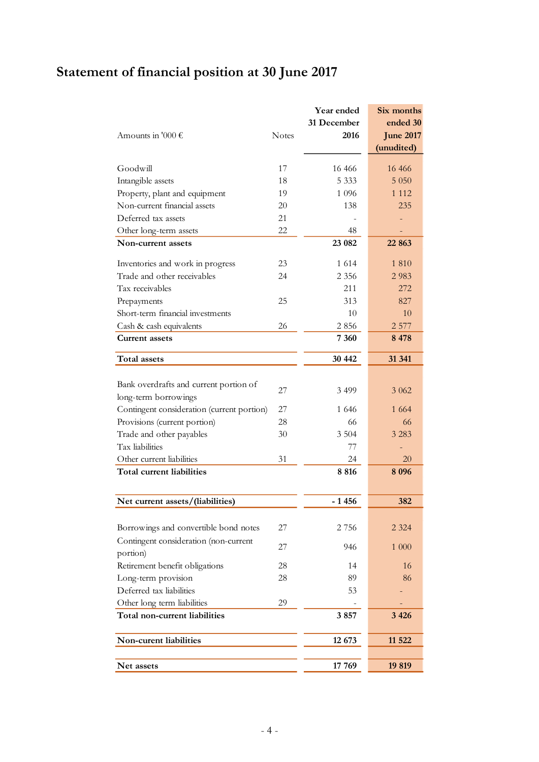## **Statement of financial position at 30 June 2017**

|                                            |              | Year ended  | Six months       |
|--------------------------------------------|--------------|-------------|------------------|
|                                            |              | 31 December | ended 30         |
| Amounts in '000 $\epsilon$                 | <b>Notes</b> | 2016        | <b>June 2017</b> |
|                                            |              |             | (unudited)       |
| Goodwill                                   | 17           | 16 4 6 6    | 16 4 66          |
| Intangible assets                          | 18           | 5 3 3 3     | 5 0 5 0          |
| Property, plant and equipment              | 19           | 1 0 9 6     | 1 1 1 2          |
| Non-current financial assets               | 20           | 138         | 235              |
| Deferred tax assets                        | 21           |             |                  |
| Other long-term assets                     | 22           | 48          |                  |
| Non-current assets                         |              | 23 082      | 22 863           |
|                                            |              |             |                  |
| Inventories and work in progress           | 23           | 1 6 1 4     | 1810             |
| Trade and other receivables                | 24           | 2 3 5 6     | 2983             |
| Tax receivables                            |              | 211         | 272              |
| Prepayments                                | 25           | 313         | 827              |
| Short-term financial investments           |              | 10          | 10               |
| Cash & cash equivalents                    | 26           | 2856        | 2 5 7 7          |
| <b>Current</b> assets                      |              | 7 3 6 0     | 8 4 7 8          |
| <b>Total assets</b>                        |              | 30 442      | 31 341           |
|                                            |              |             |                  |
| Bank overdrafts and current portion of     | 27           | 3 4 9 9     | 3 0 6 2          |
| long-term borrowings                       |              |             |                  |
| Contingent consideration (current portion) | 27           | 1 646       | 1 6 6 4          |
| Provisions (current portion)               | 28           | 66          | 66               |
| Trade and other payables                   | 30           | 3 5 0 4     | 3 2 8 3          |
| Tax liabilities                            |              | 77          |                  |
| Other current liabilities                  | 31           | 24          | 20               |
| Total current liabilities                  |              | 8 8 1 6     | 8 0 9 6          |
|                                            |              | $-1456$     | 382              |
| Net current assets/(liabilities)           |              |             |                  |
| Borrowings and convertible bond notes      | 27           | 2 7 5 6     | 2 3 2 4          |
| Contingent consideration (non-current      | 27           | 946         | 1 000            |
| portion)                                   |              |             |                  |
| Retirement benefit obligations             | 28           | 14          | 16               |
| Long-term provision                        | 28           | 89          | 86               |
| Deferred tax liabilities                   |              | 53          |                  |
| Other long term liabilities                | 29           |             |                  |
| Total non-current liabilities              |              | 3857        | 3 4 2 6          |
| Non-curent liabilities                     |              | 12 673      | 11 5 22          |
|                                            |              |             |                  |
| Net assets                                 |              | 17 769      | 19 819           |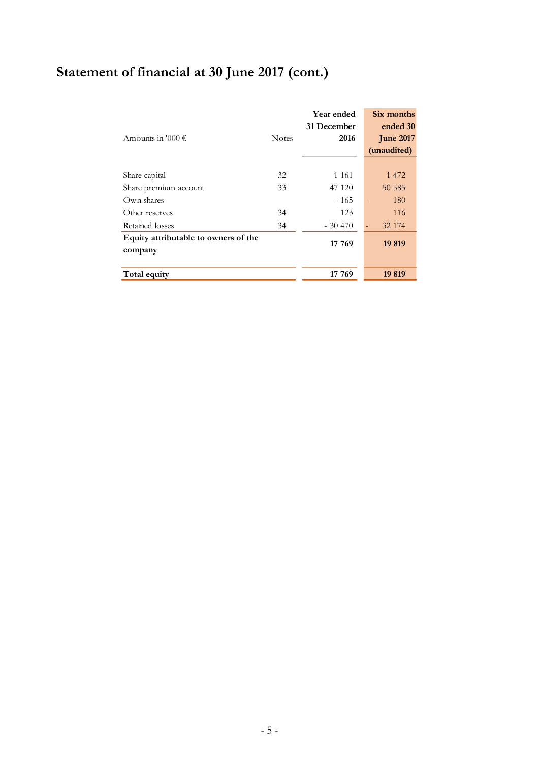## **Statement of financial at 30 June 2017 (cont.)**

| Amounts in '000 $\epsilon$                      | <b>Notes</b> | Year ended<br>31 December<br>2016 | Six months<br>ended 30<br><b>June 2017</b><br>(unaudited) |
|-------------------------------------------------|--------------|-----------------------------------|-----------------------------------------------------------|
| Share capital                                   | 32           | 1 1 6 1                           | 1 472                                                     |
| Share premium account                           | 33           | 47 1 20                           | 50 585                                                    |
| Own shares                                      |              | $-165$                            | 180                                                       |
| Other reserves                                  | 34           | 123                               | 116                                                       |
| Retained losses                                 | 34           | $-30,470$                         | 32 174                                                    |
| Equity attributable to owners of the<br>company |              | 17 769                            | 19 819                                                    |
| Total equity                                    |              | 17 769                            | 19 819                                                    |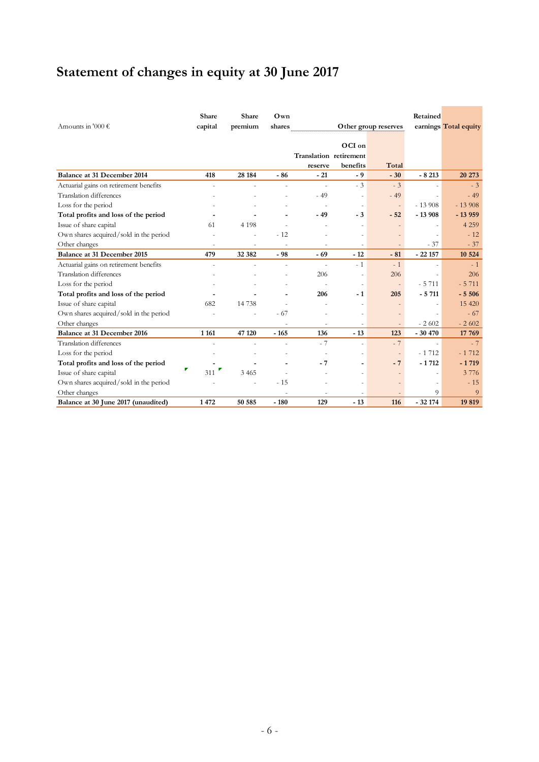## **Statement of changes in equity at 30 June 2017**

| Amounts in '000 $\epsilon$             | Share<br>capital | Share<br>premium | Own<br>shares            | O ther group reserves  |          |                          |          | Retained<br>earnings Total equity |  |
|----------------------------------------|------------------|------------------|--------------------------|------------------------|----------|--------------------------|----------|-----------------------------------|--|
|                                        |                  |                  |                          |                        |          |                          |          |                                   |  |
|                                        |                  |                  |                          |                        | OCI on   |                          |          |                                   |  |
|                                        |                  |                  |                          | Translation retirement |          |                          |          |                                   |  |
|                                        |                  |                  |                          | reserve                | benefits | Total                    |          |                                   |  |
| Balance at 31 December 2014            | 418              | 28 184           | - 86                     | $-21$                  | $-9$     | $-30$                    | $-8213$  | 20 273                            |  |
| Actuarial gains on retirement benefits |                  |                  |                          | $\overline{a}$         | $-3$     | $-3$                     |          | $-3$                              |  |
| Translation differences                |                  |                  |                          | $-49$                  |          | $-49$                    |          | $-49$                             |  |
| Loss for the period                    |                  |                  |                          | $\sim$                 |          | $\overline{\phantom{a}}$ | $-13908$ | $-13908$                          |  |
| Total profits and loss of the period   |                  |                  | $\overline{\phantom{a}}$ | $-49$                  | $-3$     | $-52$                    | $-13908$ | $-13959$                          |  |
| Issue of share capital                 | 61               | 4 1 9 8          |                          |                        |          |                          |          | 4 2 5 9                           |  |
| Own shares acquired/sold in the period |                  |                  | $-12$                    |                        |          |                          |          | $-12$                             |  |
| Other changes                          |                  |                  |                          |                        |          |                          | $-37$    | $-37$                             |  |
| Balance at 31 December 2015            | 479              | 32 382           | $-98$                    | $-69$                  | $-12$    | $-81$                    | $-22157$ | 10 5 24                           |  |
| Actuarial gains on retirement benefits |                  |                  | ÷,                       | $\overline{a}$         | $-1$     | $-1$                     |          | $-1$                              |  |
| Translation differences                |                  |                  |                          | 206                    |          | 206                      | L,       | 206                               |  |
| Loss for the period                    |                  |                  |                          |                        |          | $\overline{\phantom{a}}$ | $-5711$  | $-5711$                           |  |
| Total profits and loss of the period   |                  |                  | $\blacksquare$           | 206                    | - 1      | 205                      | $-5711$  | $-5506$                           |  |
| Issue of share capital                 | 682              | 14 738           |                          |                        |          |                          |          | 15 4 20                           |  |
| Own shares acquired/sold in the period |                  |                  | $-67$                    |                        |          |                          |          | $-67$                             |  |
| Other changes                          |                  |                  |                          |                        |          | $\overline{\phantom{a}}$ | $-2602$  | $-2602$                           |  |
| Balance at 31 December 2016            | 1 1 6 1          | 47 120           | $-165$                   | 136                    | $-13$    | 123                      | $-30470$ | 17 769                            |  |
| <b>Translation</b> differences         |                  |                  |                          | $-7$                   |          | $-7$                     |          | $-7$                              |  |
| Loss for the period                    |                  |                  |                          |                        |          | $\overline{\phantom{a}}$ | $-1712$  | $-1712$                           |  |
| Total profits and loss of the period   |                  |                  |                          | $-7$                   |          | $-7$                     | $-1712$  | $-1719$                           |  |
| Issue of share capital                 | Τ<br>311         | 3 4 6 5          |                          |                        |          | $\qquad \qquad -$        |          | 3776                              |  |
| Own shares acquired/sold in the period |                  |                  | $-15$                    |                        |          |                          |          | $-15$                             |  |
| Other changes                          |                  |                  |                          |                        |          |                          | 9        | 9                                 |  |
| Balance at 30 June 2017 (unaudited)    | 1472             | 50 585           | $-180$                   | 129                    | $-13$    | 116                      | $-32174$ | 19 819                            |  |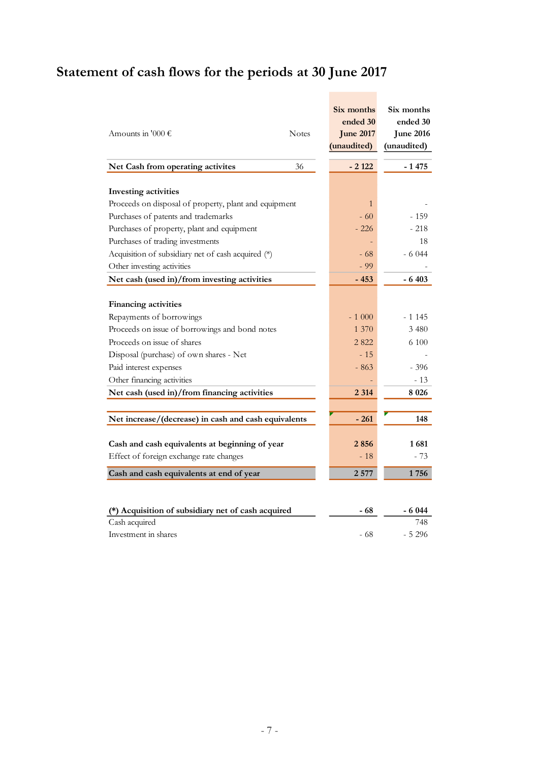## **Statement of cash flows for the periods at 30 June 2017**

| Amounts in '000 $\epsilon$                            | <b>Notes</b> | Six months<br>ended 30<br><b>June 2017</b><br>(unaudited) | Six months<br>ended 30<br><b>June 2016</b><br>(unaudited) |
|-------------------------------------------------------|--------------|-----------------------------------------------------------|-----------------------------------------------------------|
| Net Cash from operating activites                     | 36           | $-2122$                                                   | - 1 475                                                   |
|                                                       |              |                                                           |                                                           |
| <b>Investing activities</b>                           |              | $\mathbf{1}$                                              |                                                           |
| Proceeds on disposal of property, plant and equipment |              | $-60$                                                     | $-159$                                                    |
| Purchases of patents and trademarks                   |              |                                                           |                                                           |
| Purchases of property, plant and equipment            |              | $-226$                                                    | $-218$                                                    |
| Purchases of trading investments                      |              |                                                           | 18                                                        |
| Acquisition of subsidiary net of cash acquired (*)    |              | - 68                                                      | $-6044$                                                   |
| Other investing activities                            |              | $-99$                                                     |                                                           |
| Net cash (used in)/from investing activities          |              | $-453$                                                    | $-6403$                                                   |
|                                                       |              |                                                           |                                                           |
| <b>Financing activities</b>                           |              |                                                           |                                                           |
| Repayments of borrowings                              |              | $-1000$                                                   | $-1145$                                                   |
| Proceeds on issue of borrowings and bond notes        |              | 1 370                                                     | 3 4 8 0                                                   |
| Proceeds on issue of shares                           |              | 2822                                                      | 6 100                                                     |
| Disposal (purchase) of own shares - Net               |              | $-15$                                                     |                                                           |
| Paid interest expenses                                |              | $-863$                                                    | $-396$                                                    |
| Other financing activities                            |              |                                                           | $-13$                                                     |
| Net cash (used in)/from financing activities          |              | 2 3 14                                                    | 8 0 2 6                                                   |
|                                                       |              |                                                           |                                                           |
| Net increase/(decrease) in cash and cash equivalents  |              | $-261$                                                    | 148                                                       |
|                                                       |              |                                                           | 1681                                                      |
| Cash and cash equivalents at beginning of year        |              | 2856                                                      |                                                           |
| Effect of foreign exchange rate changes               |              | $-18$                                                     | $-73$                                                     |
| Cash and cash equivalents at end of year              |              | 2 5 7 7                                                   | 1756                                                      |
|                                                       |              |                                                           |                                                           |
| (*) Acquisition of subsidiary net of cash acquired    |              | $-68$                                                     | $-6044$                                                   |
| Cash acquired                                         |              |                                                           | 748                                                       |
| Investment in shares                                  |              | - 68                                                      | $-5296$                                                   |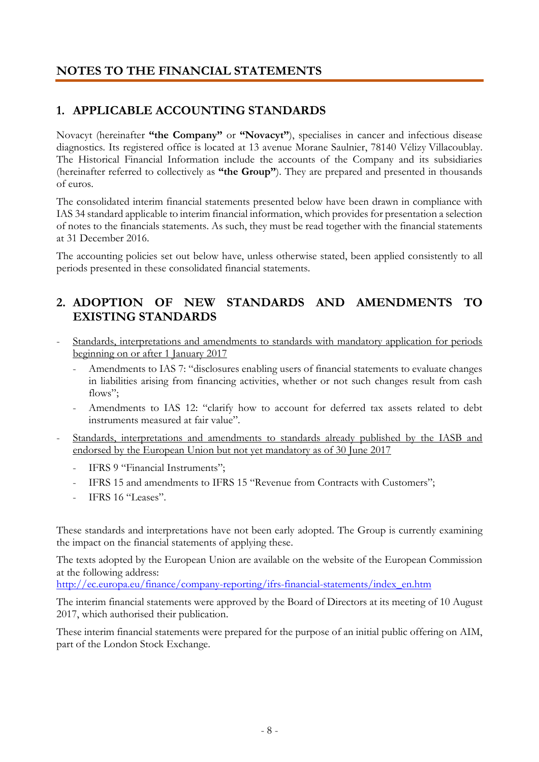## **NOTES TO THE FINANCIAL STATEMENTS**

## **1. APPLICABLE ACCOUNTING STANDARDS**

Novacyt (hereinafter **"the Company"** or **"Novacyt"**), specialises in cancer and infectious disease diagnostics. Its registered office is located at 13 avenue Morane Saulnier, 78140 Vélizy Villacoublay. The Historical Financial Information include the accounts of the Company and its subsidiaries (hereinafter referred to collectively as **"the Group"**). They are prepared and presented in thousands of euros.

The consolidated interim financial statements presented below have been drawn in compliance with IAS 34 standard applicable to interim financial information, which provides for presentation a selection of notes to the financials statements. As such, they must be read together with the financial statements at 31 December 2016.

The accounting policies set out below have, unless otherwise stated, been applied consistently to all periods presented in these consolidated financial statements.

## **2. ADOPTION OF NEW STANDARDS AND AMENDMENTS TO EXISTING STANDARDS**

- Standards, interpretations and amendments to standards with mandatory application for periods beginning on or after 1 January 2017
	- Amendments to IAS 7: "disclosures enabling users of financial statements to evaluate changes in liabilities arising from financing activities, whether or not such changes result from cash flows":
	- Amendments to IAS 12: "clarify how to account for deferred tax assets related to debt instruments measured at fair value".
- Standards, interpretations and amendments to standards already published by the IASB and endorsed by the European Union but not yet mandatory as of 30 June 2017
	- IFRS 9 "Financial Instruments";
	- IFRS 15 and amendments to IFRS 15 "Revenue from Contracts with Customers";
	- IFRS 16 "Leases".

These standards and interpretations have not been early adopted. The Group is currently examining the impact on the financial statements of applying these.

The texts adopted by the European Union are available on the website of the European Commission at the following address:

[http://ec.europa.eu/finance/company-reporting/ifrs-financial-statements/index\\_en.htm](http://ec.europa.eu/finance/company-reporting/ifrs-financial-statements/index_en.htm)

The interim financial statements were approved by the Board of Directors at its meeting of 10 August 2017, which authorised their publication.

These interim financial statements were prepared for the purpose of an initial public offering on AIM, part of the London Stock Exchange.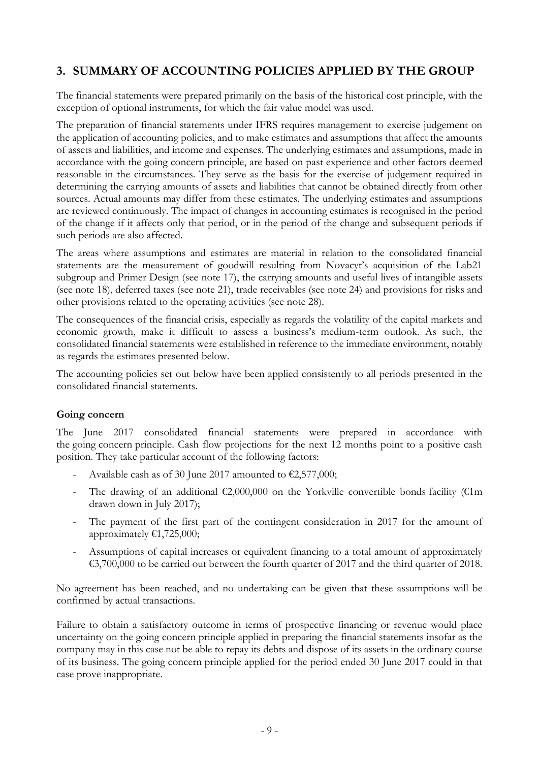## **3. SUMMARY OF ACCOUNTING POLICIES APPLIED BY THE GROUP**

The financial statements were prepared primarily on the basis of the historical cost principle, with the exception of optional instruments, for which the fair value model was used.

The preparation of financial statements under IFRS requires management to exercise judgement on the application of accounting policies, and to make estimates and assumptions that affect the amounts of assets and liabilities, and income and expenses. The underlying estimates and assumptions, made in accordance with the going concern principle, are based on past experience and other factors deemed reasonable in the circumstances. They serve as the basis for the exercise of judgement required in determining the carrying amounts of assets and liabilities that cannot be obtained directly from other sources. Actual amounts may differ from these estimates. The underlying estimates and assumptions are reviewed continuously. The impact of changes in accounting estimates is recognised in the period of the change if it affects only that period, or in the period of the change and subsequent periods if such periods are also affected.

The areas where assumptions and estimates are material in relation to the consolidated financial statements are the measurement of goodwill resulting from Novacyt's acquisition of the Lab21 subgroup and Primer Design (see note 17), the carrying amounts and useful lives of intangible assets (see note 18), deferred taxes (see note 21), trade receivables (see note 24) and provisions for risks and other provisions related to the operating activities (see note 28).

The consequences of the financial crisis, especially as regards the volatility of the capital markets and economic growth, make it difficult to assess a business's medium-term outlook. As such, the consolidated financial statements were established in reference to the immediate environment, notably as regards the estimates presented below.

The accounting policies set out below have been applied consistently to all periods presented in the consolidated financial statements.

#### **Going concern**

The June 2017 consolidated financial statements were prepared in accordance with the going concern principle. Cash flow projections for the next 12 months point to a positive cash position. They take particular account of the following factors:

- Available cash as of 30 June 2017 amounted to  $\epsilon$ 2,577,000;
- The drawing of an additional  $\epsilon$ 2,000,000 on the Yorkville convertible bonds facility ( $\epsilon$ 1m) drawn down in July 2017);
- The payment of the first part of the contingent consideration in 2017 for the amount of approximately  $£1,725,000;$
- Assumptions of capital increases or equivalent financing to a total amount of approximately €3,700,000 to be carried out between the fourth quarter of 2017 and the third quarter of 2018.

No agreement has been reached, and no undertaking can be given that these assumptions will be confirmed by actual transactions.

Failure to obtain a satisfactory outcome in terms of prospective financing or revenue would place uncertainty on the going concern principle applied in preparing the financial statements insofar as the company may in this case not be able to repay its debts and dispose of its assets in the ordinary course of its business. The going concern principle applied for the period ended 30 June 2017 could in that case prove inappropriate.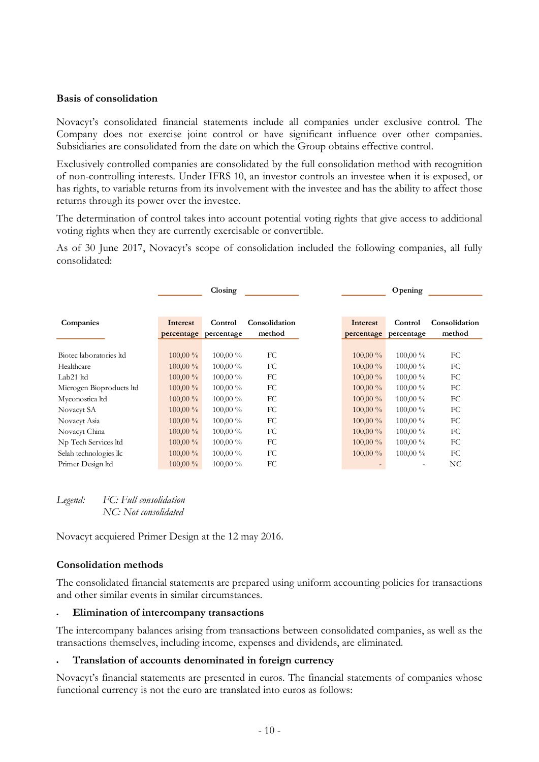#### **Basis of consolidation**

Novacyt's consolidated financial statements include all companies under exclusive control. The Company does not exercise joint control or have significant influence over other companies. Subsidiaries are consolidated from the date on which the Group obtains effective control.

Exclusively controlled companies are consolidated by the full consolidation method with recognition of non-controlling interests. Under IFRS 10, an investor controls an investee when it is exposed, or has rights, to variable returns from its involvement with the investee and has the ability to affect those returns through its power over the investee.

The determination of control takes into account potential voting rights that give access to additional voting rights when they are currently exercisable or convertible.

As of 30 June 2017, Novacyt's scope of consolidation included the following companies, all fully consolidated:

|                          |            | Closing    |               |            | Opening    |               |
|--------------------------|------------|------------|---------------|------------|------------|---------------|
|                          |            |            |               |            |            |               |
| Companies                | Interest   | Control    | Consolidation | Interest   | Control    | Consolidation |
|                          | percentage | percentage | method        | percentage | percentage | method        |
|                          |            |            |               |            |            |               |
| Biotec laboratories ltd  | $100,00\%$ | 100,00 %   | FC            | $100,00\%$ | 100,00 %   | FC            |
| Healthcare               | $100,00\%$ | $100,00\%$ | FC            | $100,00\%$ | $100,00\%$ | FC            |
| Lab <sub>21</sub> ltd    | $100,00\%$ | $100,00\%$ | FC            | $100,00\%$ | $100,00\%$ | FC            |
| Microgen Bioproducts ltd | 100,00 %   | 100,00 %   | FC            | $100,00\%$ | $100,00\%$ | FC            |
| Myconostica ltd          | $100,00\%$ | $100,00\%$ | FC            | $100,00\%$ | $100,00\%$ | FC            |
| Novacyt SA               | $100,00\%$ | 100,00 %   | FC            | $100,00\%$ | 100,00 %   | FC            |
| Novacyt Asia             | $100,00\%$ | $100,00\%$ | FC            | 100,00 %   | $100,00\%$ | FC            |
| Novacyt China            | $100,00\%$ | $100,00\%$ | FC            | $100,00\%$ | $100,00\%$ | FC            |
| Np Tech Services ltd     | $100,00\%$ | $100,00\%$ | FC            | $100,00\%$ | $100,00\%$ | FC            |
| Selah technologies llc   | $100,00\%$ | $100,00\%$ | FC            | 100,00 %   | $100,00\%$ | FC            |
| Primer Design ltd        | $100,00\%$ | 100,00 %   | FC            |            |            | NC.           |

*Legend: FC: Full consolidation NC: Not consolidated* 

Novacyt acquiered Primer Design at the 12 may 2016.

#### **Consolidation methods**

The consolidated financial statements are prepared using uniform accounting policies for transactions and other similar events in similar circumstances.

#### **Elimination of intercompany transactions**

The intercompany balances arising from transactions between consolidated companies, as well as the transactions themselves, including income, expenses and dividends, are eliminated.

#### **Translation of accounts denominated in foreign currency**

Novacyt's financial statements are presented in euros. The financial statements of companies whose functional currency is not the euro are translated into euros as follows: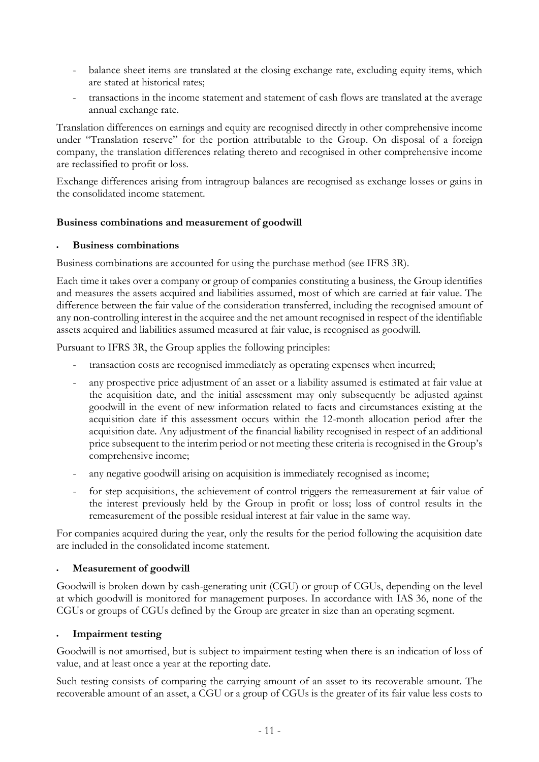- balance sheet items are translated at the closing exchange rate, excluding equity items, which are stated at historical rates;
- transactions in the income statement and statement of cash flows are translated at the average annual exchange rate.

Translation differences on earnings and equity are recognised directly in other comprehensive income under "Translation reserve" for the portion attributable to the Group. On disposal of a foreign company, the translation differences relating thereto and recognised in other comprehensive income are reclassified to profit or loss.

Exchange differences arising from intragroup balances are recognised as exchange losses or gains in the consolidated income statement.

#### **Business combinations and measurement of goodwill**

#### **Business combinations**

Business combinations are accounted for using the purchase method (see IFRS 3R).

Each time it takes over a company or group of companies constituting a business, the Group identifies and measures the assets acquired and liabilities assumed, most of which are carried at fair value. The difference between the fair value of the consideration transferred, including the recognised amount of any non-controlling interest in the acquiree and the net amount recognised in respect of the identifiable assets acquired and liabilities assumed measured at fair value, is recognised as goodwill.

Pursuant to IFRS 3R, the Group applies the following principles:

- transaction costs are recognised immediately as operating expenses when incurred;
- any prospective price adjustment of an asset or a liability assumed is estimated at fair value at the acquisition date, and the initial assessment may only subsequently be adjusted against goodwill in the event of new information related to facts and circumstances existing at the acquisition date if this assessment occurs within the 12-month allocation period after the acquisition date. Any adjustment of the financial liability recognised in respect of an additional price subsequent to the interim period or not meeting these criteria is recognised in the Group's comprehensive income;
- any negative goodwill arising on acquisition is immediately recognised as income;
- for step acquisitions, the achievement of control triggers the remeasurement at fair value of the interest previously held by the Group in profit or loss; loss of control results in the remeasurement of the possible residual interest at fair value in the same way.

For companies acquired during the year, only the results for the period following the acquisition date are included in the consolidated income statement.

#### **Measurement of goodwill**

Goodwill is broken down by cash-generating unit (CGU) or group of CGUs, depending on the level at which goodwill is monitored for management purposes. In accordance with IAS 36, none of the CGUs or groups of CGUs defined by the Group are greater in size than an operating segment.

#### **Impairment testing**

Goodwill is not amortised, but is subject to impairment testing when there is an indication of loss of value, and at least once a year at the reporting date.

Such testing consists of comparing the carrying amount of an asset to its recoverable amount. The recoverable amount of an asset, a CGU or a group of CGUs is the greater of its fair value less costs to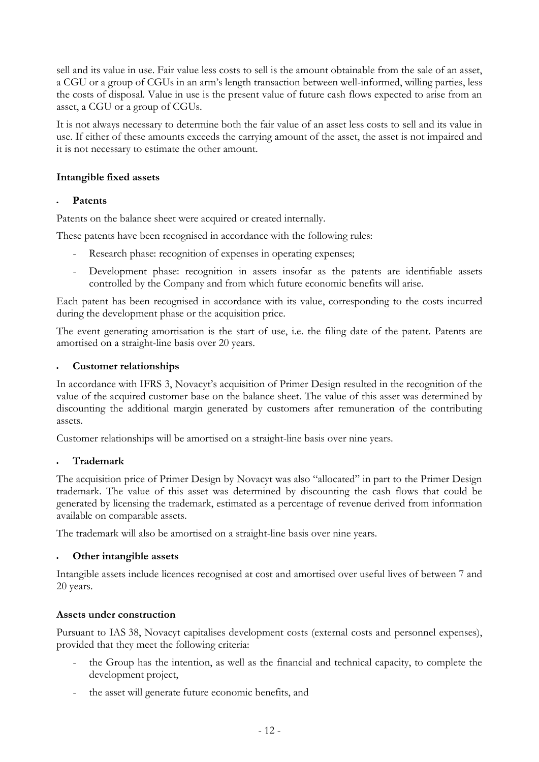sell and its value in use. Fair value less costs to sell is the amount obtainable from the sale of an asset, a CGU or a group of CGUs in an arm's length transaction between well-informed, willing parties, less the costs of disposal. Value in use is the present value of future cash flows expected to arise from an asset, a CGU or a group of CGUs.

It is not always necessary to determine both the fair value of an asset less costs to sell and its value in use. If either of these amounts exceeds the carrying amount of the asset, the asset is not impaired and it is not necessary to estimate the other amount.

#### **Intangible fixed assets**

#### **Patents**

Patents on the balance sheet were acquired or created internally.

These patents have been recognised in accordance with the following rules:

- Research phase: recognition of expenses in operating expenses;
- Development phase: recognition in assets insofar as the patents are identifiable assets controlled by the Company and from which future economic benefits will arise.

Each patent has been recognised in accordance with its value, corresponding to the costs incurred during the development phase or the acquisition price.

The event generating amortisation is the start of use, i.e. the filing date of the patent. Patents are amortised on a straight-line basis over 20 years.

#### **Customer relationships**

In accordance with IFRS 3, Novacyt's acquisition of Primer Design resulted in the recognition of the value of the acquired customer base on the balance sheet. The value of this asset was determined by discounting the additional margin generated by customers after remuneration of the contributing assets.

Customer relationships will be amortised on a straight-line basis over nine years.

#### **Trademark**

The acquisition price of Primer Design by Novacyt was also "allocated" in part to the Primer Design trademark. The value of this asset was determined by discounting the cash flows that could be generated by licensing the trademark, estimated as a percentage of revenue derived from information available on comparable assets.

The trademark will also be amortised on a straight-line basis over nine years.

#### **Other intangible assets**

Intangible assets include licences recognised at cost and amortised over useful lives of between 7 and 20 years.

#### **Assets under construction**

Pursuant to IAS 38, Novacyt capitalises development costs (external costs and personnel expenses), provided that they meet the following criteria:

- the Group has the intention, as well as the financial and technical capacity, to complete the development project,
- the asset will generate future economic benefits, and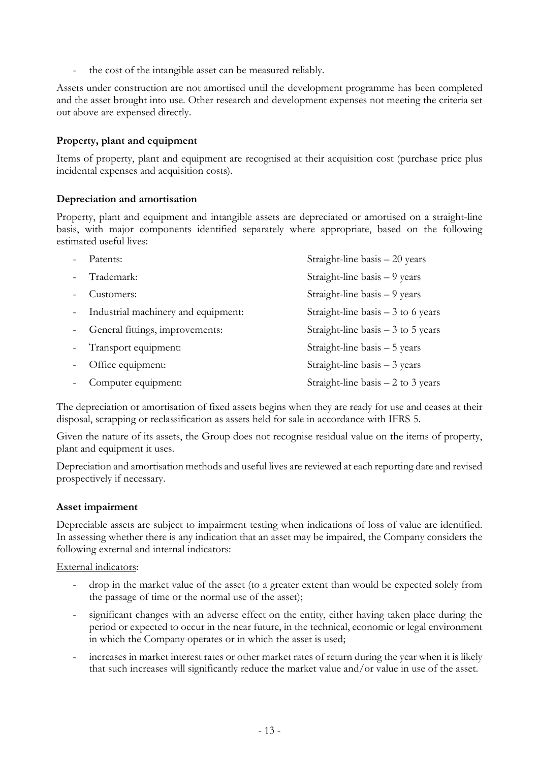the cost of the intangible asset can be measured reliably.

Assets under construction are not amortised until the development programme has been completed and the asset brought into use. Other research and development expenses not meeting the criteria set out above are expensed directly.

#### **Property, plant and equipment**

Items of property, plant and equipment are recognised at their acquisition cost (purchase price plus incidental expenses and acquisition costs).

#### **Depreciation and amortisation**

Property, plant and equipment and intangible assets are depreciated or amortised on a straight-line basis, with major components identified separately where appropriate, based on the following estimated useful lives:

|          | Patents:                            | Straight-line basis - 20 years      |
|----------|-------------------------------------|-------------------------------------|
|          | Trademark:                          | Straight-line basis – 9 years       |
|          | Customers:                          | Straight-line basis – 9 years       |
| $\equiv$ | Industrial machinery and equipment: | Straight-line basis $-3$ to 6 years |
| $\sim$   | General fittings, improvements:     | Straight-line basis $-3$ to 5 years |
| $\sim$   | Transport equipment:                | Straight-line basis - 5 years       |
|          | Office equipment:                   | Straight-line basis – 3 years       |
|          | Computer equipment:                 | Straight-line basis $-2$ to 3 years |

The depreciation or amortisation of fixed assets begins when they are ready for use and ceases at their disposal, scrapping or reclassification as assets held for sale in accordance with IFRS 5.

Given the nature of its assets, the Group does not recognise residual value on the items of property, plant and equipment it uses.

Depreciation and amortisation methods and useful lives are reviewed at each reporting date and revised prospectively if necessary.

#### **Asset impairment**

Depreciable assets are subject to impairment testing when indications of loss of value are identified. In assessing whether there is any indication that an asset may be impaired, the Company considers the following external and internal indicators:

External indicators:

- drop in the market value of the asset (to a greater extent than would be expected solely from the passage of time or the normal use of the asset);
- significant changes with an adverse effect on the entity, either having taken place during the period or expected to occur in the near future, in the technical, economic or legal environment in which the Company operates or in which the asset is used;
- increases in market interest rates or other market rates of return during the year when it is likely that such increases will significantly reduce the market value and/or value in use of the asset.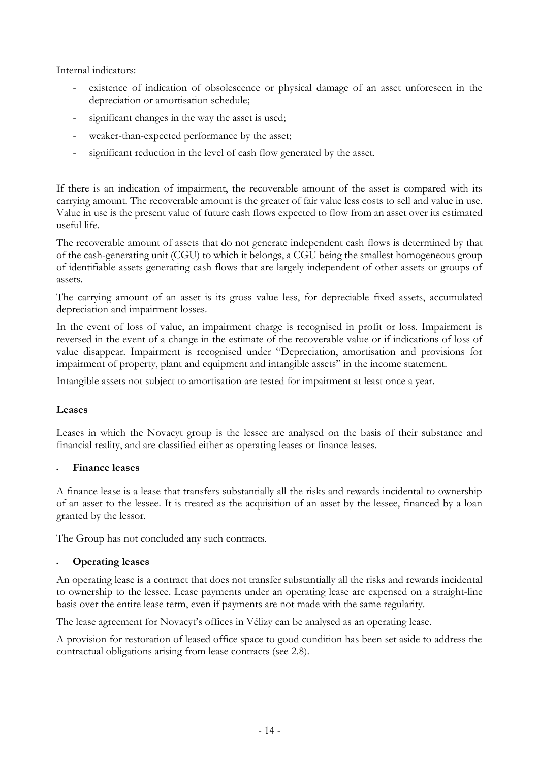#### Internal indicators:

- existence of indication of obsolescence or physical damage of an asset unforeseen in the depreciation or amortisation schedule;
- significant changes in the way the asset is used;
- weaker-than-expected performance by the asset;
- significant reduction in the level of cash flow generated by the asset.

If there is an indication of impairment, the recoverable amount of the asset is compared with its carrying amount. The recoverable amount is the greater of fair value less costs to sell and value in use. Value in use is the present value of future cash flows expected to flow from an asset over its estimated useful life.

The recoverable amount of assets that do not generate independent cash flows is determined by that of the cash-generating unit (CGU) to which it belongs, a CGU being the smallest homogeneous group of identifiable assets generating cash flows that are largely independent of other assets or groups of assets.

The carrying amount of an asset is its gross value less, for depreciable fixed assets, accumulated depreciation and impairment losses.

In the event of loss of value, an impairment charge is recognised in profit or loss. Impairment is reversed in the event of a change in the estimate of the recoverable value or if indications of loss of value disappear. Impairment is recognised under "Depreciation, amortisation and provisions for impairment of property, plant and equipment and intangible assets" in the income statement.

Intangible assets not subject to amortisation are tested for impairment at least once a year.

#### **Leases**

Leases in which the Novacyt group is the lessee are analysed on the basis of their substance and financial reality, and are classified either as operating leases or finance leases.

#### **Finance leases**

A finance lease is a lease that transfers substantially all the risks and rewards incidental to ownership of an asset to the lessee. It is treated as the acquisition of an asset by the lessee, financed by a loan granted by the lessor.

The Group has not concluded any such contracts.

#### **Operating leases**

An operating lease is a contract that does not transfer substantially all the risks and rewards incidental to ownership to the lessee. Lease payments under an operating lease are expensed on a straight-line basis over the entire lease term, even if payments are not made with the same regularity.

The lease agreement for Novacyt's offices in Vélizy can be analysed as an operating lease.

A provision for restoration of leased office space to good condition has been set aside to address the contractual obligations arising from lease contracts (see 2.8).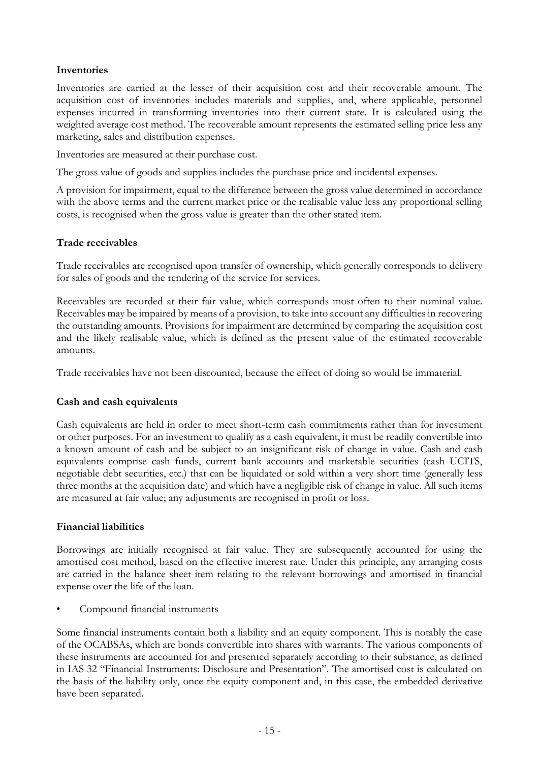#### **Inventories**

Inventories are carried at the lesser of their acquisition cost and their recoverable amount. The acquisition cost of inventories includes materials and supplies, and, where applicable, personnel expenses incurred in transforming inventories into their current state. It is calculated using the weighted average cost method. The recoverable amount represents the estimated selling price less any marketing, sales and distribution expenses.

Inventories are measured at their purchase cost.

The gross value of goods and supplies includes the purchase price and incidental expenses.

A provision for impairment, equal to the difference between the gross value determined in accordance with the above terms and the current market price or the realisable value less any proportional selling costs, is recognised when the gross value is greater than the other stated item.

#### **Trade receivables**

Trade receivables are recognised upon transfer of ownership, which generally corresponds to delivery for sales of goods and the rendering of the service for services.

Receivables are recorded at their fair value, which corresponds most often to their nominal value. Receivables may be impaired by means of a provision, to take into account any difficulties in recovering the outstanding amounts. Provisions for impairment are determined by comparing the acquisition cost and the likely realisable value, which is defined as the present value of the estimated recoverable amounts.

Trade receivables have not been discounted, because the effect of doing so would be immaterial.

#### **Cash and cash equivalents**

Cash equivalents are held in order to meet short-term cash commitments rather than for investment or other purposes. For an investment to qualify as a cash equivalent, it must be readily convertible into a known amount of cash and be subject to an insignificant risk of change in value. Cash and cash equivalents comprise cash funds, current bank accounts and marketable securities (cash UCITS, negotiable debt securities, etc.) that can be liquidated or sold within a very short time (generally less three months at the acquisition date) and which have a negligible risk of change in value. All such items are measured at fair value; any adjustments are recognised in profit or loss.

#### **Financial liabilities**

Borrowings are initially recognised at fair value. They are subsequently accounted for using the amortised cost method, based on the effective interest rate. Under this principle, any arranging costs are carried in the balance sheet item relating to the relevant borrowings and amortised in financial expense over the life of the loan.

Compound financial instruments

Some financial instruments contain both a liability and an equity component. This is notably the case of the OCABSAs, which are bonds convertible into shares with warrants. The various components of these instruments are accounted for and presented separately according to their substance, as defined in IAS 32 "Financial Instruments: Disclosure and Presentation". The amortised cost is calculated on the basis of the liability only, once the equity component and, in this case, the embedded derivative have been separated.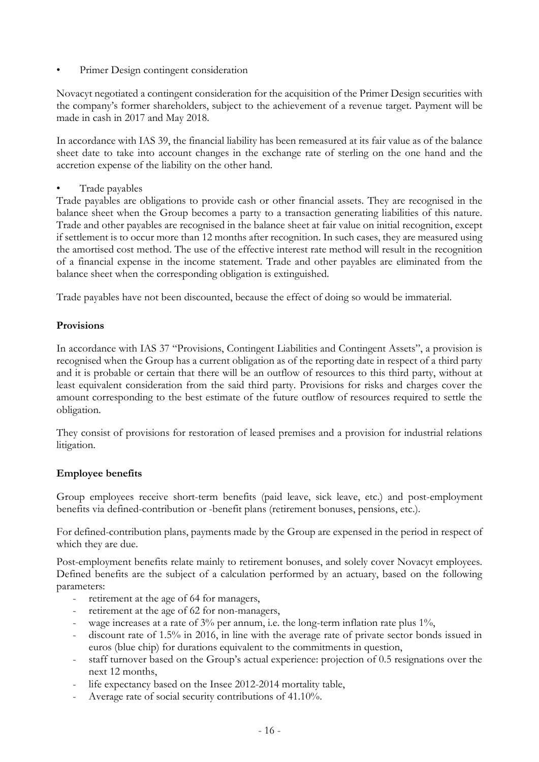Primer Design contingent consideration

Novacyt negotiated a contingent consideration for the acquisition of the Primer Design securities with the company's former shareholders, subject to the achievement of a revenue target. Payment will be made in cash in 2017 and May 2018.

In accordance with IAS 39, the financial liability has been remeasured at its fair value as of the balance sheet date to take into account changes in the exchange rate of sterling on the one hand and the accretion expense of the liability on the other hand.

• Trade payables

Trade payables are obligations to provide cash or other financial assets. They are recognised in the balance sheet when the Group becomes a party to a transaction generating liabilities of this nature. Trade and other payables are recognised in the balance sheet at fair value on initial recognition, except if settlement is to occur more than 12 months after recognition. In such cases, they are measured using the amortised cost method. The use of the effective interest rate method will result in the recognition of a financial expense in the income statement. Trade and other payables are eliminated from the balance sheet when the corresponding obligation is extinguished.

Trade payables have not been discounted, because the effect of doing so would be immaterial.

#### **Provisions**

In accordance with IAS 37 "Provisions, Contingent Liabilities and Contingent Assets", a provision is recognised when the Group has a current obligation as of the reporting date in respect of a third party and it is probable or certain that there will be an outflow of resources to this third party, without at least equivalent consideration from the said third party. Provisions for risks and charges cover the amount corresponding to the best estimate of the future outflow of resources required to settle the obligation.

They consist of provisions for restoration of leased premises and a provision for industrial relations litigation.

#### **Employee benefits**

Group employees receive short-term benefits (paid leave, sick leave, etc.) and post-employment benefits via defined-contribution or -benefit plans (retirement bonuses, pensions, etc.).

For defined-contribution plans, payments made by the Group are expensed in the period in respect of which they are due.

Post-employment benefits relate mainly to retirement bonuses, and solely cover Novacyt employees. Defined benefits are the subject of a calculation performed by an actuary, based on the following parameters:

- retirement at the age of 64 for managers,
- retirement at the age of 62 for non-managers,
- wage increases at a rate of  $3\%$  per annum, i.e. the long-term inflation rate plus  $1\%$ ,
- discount rate of 1.5% in 2016, in line with the average rate of private sector bonds issued in euros (blue chip) for durations equivalent to the commitments in question,
- staff turnover based on the Group's actual experience: projection of 0.5 resignations over the next 12 months,
- life expectancy based on the Insee 2012-2014 mortality table,
- Average rate of social security contributions of 41.10%.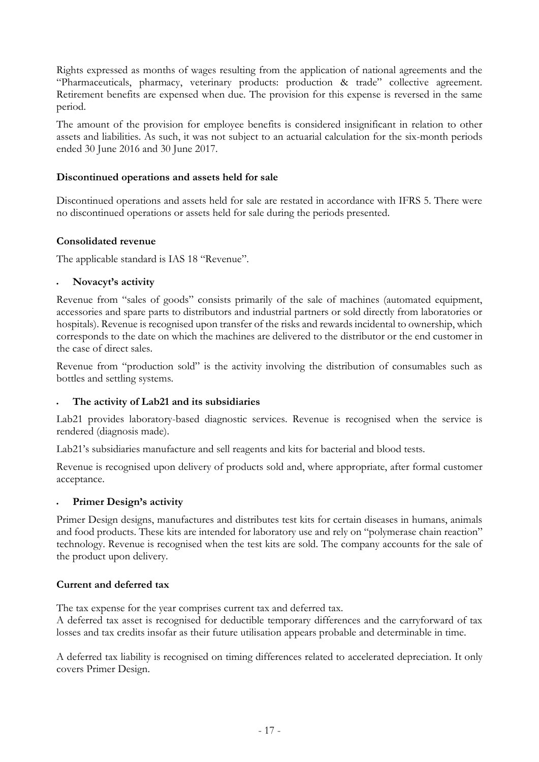Rights expressed as months of wages resulting from the application of national agreements and the "Pharmaceuticals, pharmacy, veterinary products: production & trade" collective agreement. Retirement benefits are expensed when due. The provision for this expense is reversed in the same period.

The amount of the provision for employee benefits is considered insignificant in relation to other assets and liabilities. As such, it was not subject to an actuarial calculation for the six-month periods ended 30 June 2016 and 30 June 2017.

#### **Discontinued operations and assets held for sale**

Discontinued operations and assets held for sale are restated in accordance with IFRS 5. There were no discontinued operations or assets held for sale during the periods presented.

#### **Consolidated revenue**

The applicable standard is IAS 18 "Revenue".

#### **Novacyt's activity**

Revenue from "sales of goods" consists primarily of the sale of machines (automated equipment, accessories and spare parts to distributors and industrial partners or sold directly from laboratories or hospitals). Revenue is recognised upon transfer of the risks and rewards incidental to ownership, which corresponds to the date on which the machines are delivered to the distributor or the end customer in the case of direct sales.

Revenue from "production sold" is the activity involving the distribution of consumables such as bottles and settling systems.

#### **The activity of Lab21 and its subsidiaries**

Lab21 provides laboratory-based diagnostic services. Revenue is recognised when the service is rendered (diagnosis made).

Lab21's subsidiaries manufacture and sell reagents and kits for bacterial and blood tests.

Revenue is recognised upon delivery of products sold and, where appropriate, after formal customer acceptance.

#### **Primer Design's activity**

Primer Design designs, manufactures and distributes test kits for certain diseases in humans, animals and food products. These kits are intended for laboratory use and rely on "polymerase chain reaction" technology. Revenue is recognised when the test kits are sold. The company accounts for the sale of the product upon delivery.

#### **Current and deferred tax**

The tax expense for the year comprises current tax and deferred tax.

A deferred tax asset is recognised for deductible temporary differences and the carryforward of tax losses and tax credits insofar as their future utilisation appears probable and determinable in time.

A deferred tax liability is recognised on timing differences related to accelerated depreciation. It only covers Primer Design.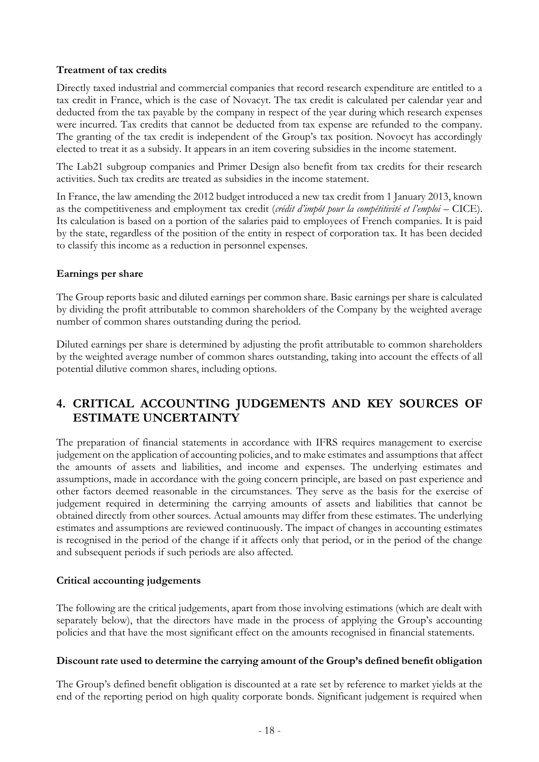#### **Treatment of tax credits**

Directly taxed industrial and commercial companies that record research expenditure are entitled to a tax credit in France, which is the case of Novacyt. The tax credit is calculated per calendar year and deducted from the tax payable by the company in respect of the year during which research expenses were incurred. Tax credits that cannot be deducted from tax expense are refunded to the company. The granting of the tax credit is independent of the Group's tax position. Novocyt has accordingly elected to treat it as a subsidy. It appears in an item covering subsidies in the income statement.

The Lab21 subgroup companies and Primer Design also benefit from tax credits for their research activities. Such tax credits are treated as subsidies in the income statement.

In France, the law amending the 2012 budget introduced a new tax credit from 1 January 2013, known as the competitiveness and employment tax credit (*crédit d'impôt pour la compétitivité et l'emploi* – CICE). Its calculation is based on a portion of the salaries paid to employees of French companies. It is paid by the state, regardless of the position of the entity in respect of corporation tax. It has been decided to classify this income as a reduction in personnel expenses.

#### **Earnings per share**

The Group reports basic and diluted earnings per common share. Basic earnings per share is calculated by dividing the profit attributable to common shareholders of the Company by the weighted average number of common shares outstanding during the period.

Diluted earnings per share is determined by adjusting the profit attributable to common shareholders by the weighted average number of common shares outstanding, taking into account the effects of all potential dilutive common shares, including options.

## **4. CRITICAL ACCOUNTING JUDGEMENTS AND KEY SOURCES OF ESTIMATE UNCERTAINTY**

The preparation of financial statements in accordance with IFRS requires management to exercise judgement on the application of accounting policies, and to make estimates and assumptions that affect the amounts of assets and liabilities, and income and expenses. The underlying estimates and assumptions, made in accordance with the going concern principle, are based on past experience and other factors deemed reasonable in the circumstances. They serve as the basis for the exercise of judgement required in determining the carrying amounts of assets and liabilities that cannot be obtained directly from other sources. Actual amounts may differ from these estimates. The underlying estimates and assumptions are reviewed continuously. The impact of changes in accounting estimates is recognised in the period of the change if it affects only that period, or in the period of the change and subsequent periods if such periods are also affected.

#### **Critical accounting judgements**

The following are the critical judgements, apart from those involving estimations (which are dealt with separately below), that the directors have made in the process of applying the Group's accounting policies and that have the most significant effect on the amounts recognised in financial statements.

#### **Discount rate used to determine the carrying amount of the Group's defined benefit obligation**

The Group's defined benefit obligation is discounted at a rate set by reference to market yields at the end of the reporting period on high quality corporate bonds. Significant judgement is required when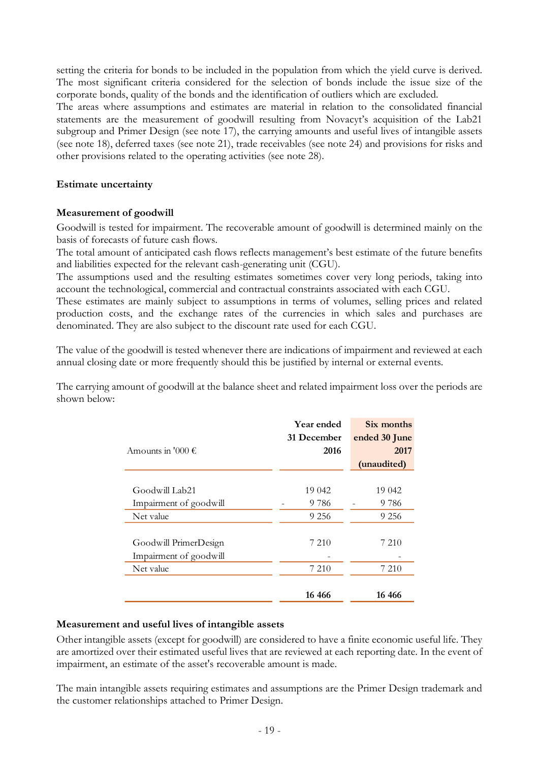setting the criteria for bonds to be included in the population from which the yield curve is derived. The most significant criteria considered for the selection of bonds include the issue size of the corporate bonds, quality of the bonds and the identification of outliers which are excluded.

The areas where assumptions and estimates are material in relation to the consolidated financial statements are the measurement of goodwill resulting from Novacyt's acquisition of the Lab21 subgroup and Primer Design (see note 17), the carrying amounts and useful lives of intangible assets (see note 18), deferred taxes (see note 21), trade receivables (see note 24) and provisions for risks and other provisions related to the operating activities (see note 28).

#### **Estimate uncertainty**

#### **Measurement of goodwill**

Goodwill is tested for impairment. The recoverable amount of goodwill is determined mainly on the basis of forecasts of future cash flows.

The total amount of anticipated cash flows reflects management's best estimate of the future benefits and liabilities expected for the relevant cash-generating unit (CGU).

The assumptions used and the resulting estimates sometimes cover very long periods, taking into account the technological, commercial and contractual constraints associated with each CGU.

These estimates are mainly subject to assumptions in terms of volumes, selling prices and related production costs, and the exchange rates of the currencies in which sales and purchases are denominated. They are also subject to the discount rate used for each CGU.

The value of the goodwill is tested whenever there are indications of impairment and reviewed at each annual closing date or more frequently should this be justified by internal or external events.

The carrying amount of goodwill at the balance sheet and related impairment loss over the periods are shown below:

| Amounts in '000 $\epsilon$                      | <b>Year ended</b><br>31 December<br>2016 | Six months<br>ended 30 June<br>2017<br>(unaudited) |
|-------------------------------------------------|------------------------------------------|----------------------------------------------------|
|                                                 |                                          |                                                    |
| Goodwill Lab21                                  | 19 042                                   | 19 042                                             |
| Impairment of goodwill                          | 9 7 8 6                                  | 9 786                                              |
| Net value                                       | 9 2 5 6                                  | 9 256                                              |
| Goodwill PrimerDesign<br>Impairment of goodwill | 7 2 1 0                                  | 7 2 1 0                                            |
| Net value                                       | 7 2 1 0                                  | 7 210                                              |
|                                                 | 16 466                                   | 16 466                                             |

#### **Measurement and useful lives of intangible assets**

Other intangible assets (except for goodwill) are considered to have a finite economic useful life. They are amortized over their estimated useful lives that are reviewed at each reporting date. In the event of impairment, an estimate of the asset's recoverable amount is made.

The main intangible assets requiring estimates and assumptions are the Primer Design trademark and the customer relationships attached to Primer Design.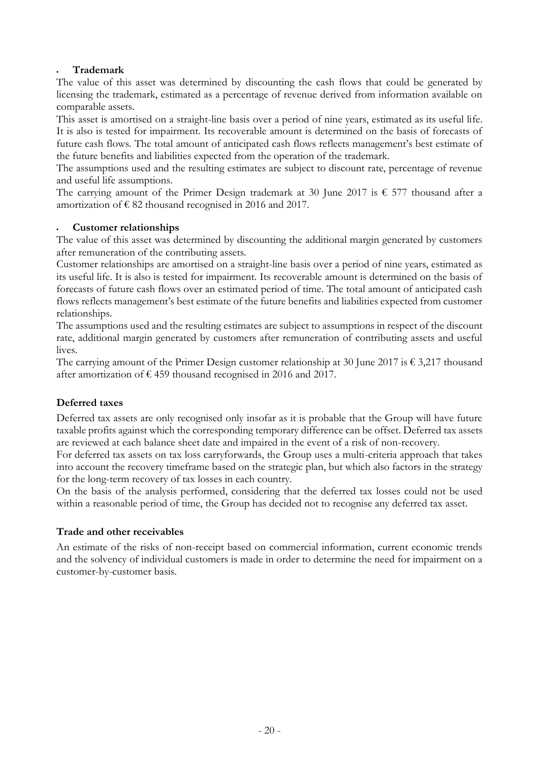#### **Trademark**

The value of this asset was determined by discounting the cash flows that could be generated by licensing the trademark, estimated as a percentage of revenue derived from information available on comparable assets.

This asset is amortised on a straight-line basis over a period of nine years, estimated as its useful life. It is also is tested for impairment. Its recoverable amount is determined on the basis of forecasts of future cash flows. The total amount of anticipated cash flows reflects management's best estimate of the future benefits and liabilities expected from the operation of the trademark.

The assumptions used and the resulting estimates are subject to discount rate, percentage of revenue and useful life assumptions.

The carrying amount of the Primer Design trademark at 30 June 2017 is  $\epsilon$  577 thousand after a amortization of  $\epsilon$  82 thousand recognised in 2016 and 2017.

#### **Customer relationships**

The value of this asset was determined by discounting the additional margin generated by customers after remuneration of the contributing assets.

Customer relationships are amortised on a straight-line basis over a period of nine years, estimated as its useful life. It is also is tested for impairment. Its recoverable amount is determined on the basis of forecasts of future cash flows over an estimated period of time. The total amount of anticipated cash flows reflects management's best estimate of the future benefits and liabilities expected from customer relationships.

The assumptions used and the resulting estimates are subject to assumptions in respect of the discount rate, additional margin generated by customers after remuneration of contributing assets and useful lives.

The carrying amount of the Primer Design customer relationship at 30 June 2017 is  $\epsilon$  3,217 thousand after amortization of  $\epsilon$  459 thousand recognised in 2016 and 2017.

#### **Deferred taxes**

Deferred tax assets are only recognised only insofar as it is probable that the Group will have future taxable profits against which the corresponding temporary difference can be offset. Deferred tax assets are reviewed at each balance sheet date and impaired in the event of a risk of non-recovery.

For deferred tax assets on tax loss carryforwards, the Group uses a multi-criteria approach that takes into account the recovery timeframe based on the strategic plan, but which also factors in the strategy for the long-term recovery of tax losses in each country.

On the basis of the analysis performed, considering that the deferred tax losses could not be used within a reasonable period of time, the Group has decided not to recognise any deferred tax asset.

#### **Trade and other receivables**

An estimate of the risks of non-receipt based on commercial information, current economic trends and the solvency of individual customers is made in order to determine the need for impairment on a customer-by-customer basis.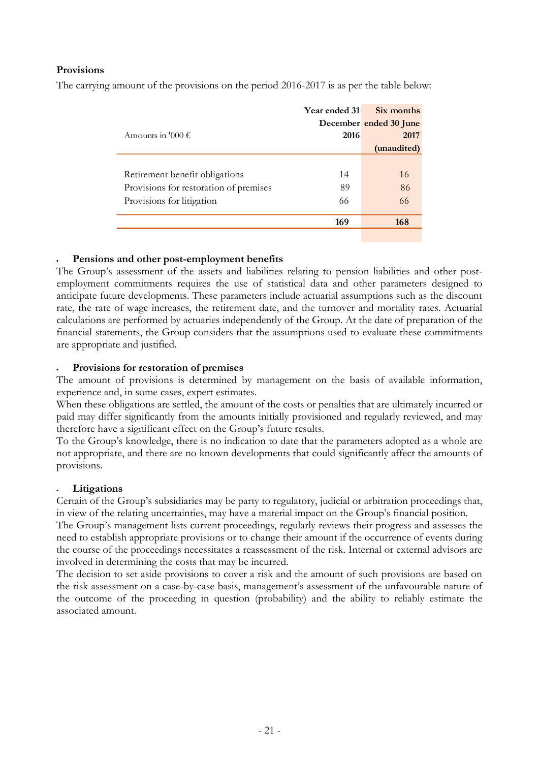#### **Provisions**

The carrying amount of the provisions on the period 2016-2017 is as per the table below:

|                                        | Year ended 31 | Six months             |
|----------------------------------------|---------------|------------------------|
|                                        |               | December ended 30 June |
| Amounts in '000 $\epsilon$             | 2016          | 2017                   |
|                                        |               | (unaudited)            |
|                                        |               |                        |
| Retirement benefit obligations         | 14            | 16                     |
| Provisions for restoration of premises | 89            | 86                     |
| Provisions for litigation              | 66            | 66                     |
|                                        |               |                        |
|                                        | 169           | 168                    |
|                                        |               |                        |

#### **Pensions and other post-employment benefits**

The Group's assessment of the assets and liabilities relating to pension liabilities and other postemployment commitments requires the use of statistical data and other parameters designed to anticipate future developments. These parameters include actuarial assumptions such as the discount rate, the rate of wage increases, the retirement date, and the turnover and mortality rates. Actuarial calculations are performed by actuaries independently of the Group. At the date of preparation of the financial statements, the Group considers that the assumptions used to evaluate these commitments are appropriate and justified.

#### **Provisions for restoration of premises**

The amount of provisions is determined by management on the basis of available information, experience and, in some cases, expert estimates.

When these obligations are settled, the amount of the costs or penalties that are ultimately incurred or paid may differ significantly from the amounts initially provisioned and regularly reviewed, and may therefore have a significant effect on the Group's future results.

To the Group's knowledge, there is no indication to date that the parameters adopted as a whole are not appropriate, and there are no known developments that could significantly affect the amounts of provisions.

#### **Litigations**

Certain of the Group's subsidiaries may be party to regulatory, judicial or arbitration proceedings that, in view of the relating uncertainties, may have a material impact on the Group's financial position.

The Group's management lists current proceedings, regularly reviews their progress and assesses the need to establish appropriate provisions or to change their amount if the occurrence of events during the course of the proceedings necessitates a reassessment of the risk. Internal or external advisors are involved in determining the costs that may be incurred.

The decision to set aside provisions to cover a risk and the amount of such provisions are based on the risk assessment on a case-by-case basis, management's assessment of the unfavourable nature of the outcome of the proceeding in question (probability) and the ability to reliably estimate the associated amount.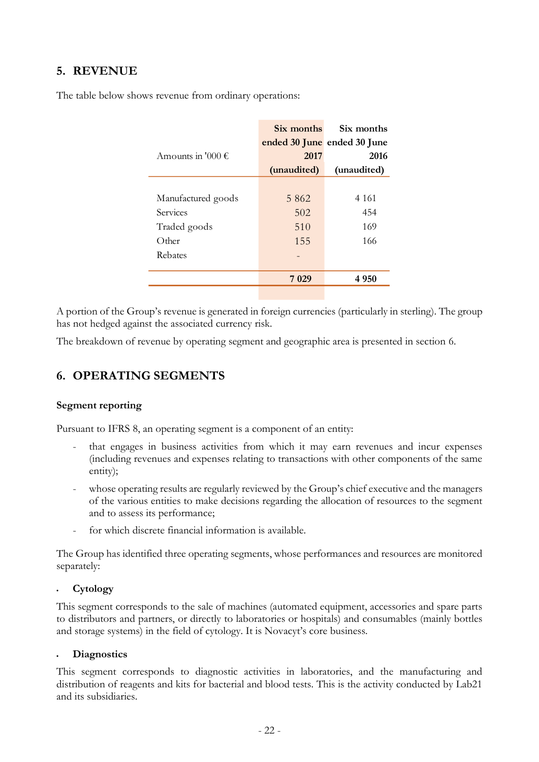## **5. REVENUE**

The table below shows revenue from ordinary operations:

|                            | Six months  | Six months                  |
|----------------------------|-------------|-----------------------------|
|                            |             | ended 30 June ended 30 June |
| Amounts in '000 $\epsilon$ | 2017        | 2016                        |
|                            | (unaudited) | (unaudited)                 |
|                            |             |                             |
| Manufactured goods         | 5862        | 4 1 6 1                     |
| Services                   | 502         | 454                         |
| Traded goods               | 510         | 169                         |
| Other                      | 155         | 166                         |
| Rebates                    |             |                             |
|                            |             |                             |
|                            | 7 029       | 4950                        |
|                            |             |                             |

A portion of the Group's revenue is generated in foreign currencies (particularly in sterling). The group has not hedged against the associated currency risk.

The breakdown of revenue by operating segment and geographic area is presented in section 6.

## **6. OPERATING SEGMENTS**

#### **Segment reporting**

Pursuant to IFRS 8, an operating segment is a component of an entity:

- that engages in business activities from which it may earn revenues and incur expenses (including revenues and expenses relating to transactions with other components of the same entity);
- whose operating results are regularly reviewed by the Group's chief executive and the managers of the various entities to make decisions regarding the allocation of resources to the segment and to assess its performance;
- for which discrete financial information is available.

The Group has identified three operating segments, whose performances and resources are monitored separately:

#### **Cytology**

This segment corresponds to the sale of machines (automated equipment, accessories and spare parts to distributors and partners, or directly to laboratories or hospitals) and consumables (mainly bottles and storage systems) in the field of cytology. It is Novacyt's core business.

#### **Diagnostics**

This segment corresponds to diagnostic activities in laboratories, and the manufacturing and distribution of reagents and kits for bacterial and blood tests. This is the activity conducted by Lab21 and its subsidiaries.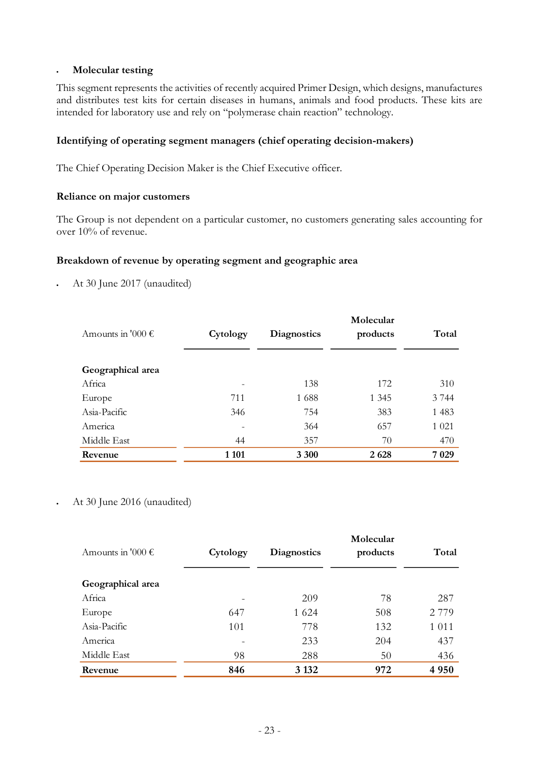#### **Molecular testing**

This segment represents the activities of recently acquired Primer Design, which designs, manufactures and distributes test kits for certain diseases in humans, animals and food products. These kits are intended for laboratory use and rely on "polymerase chain reaction" technology.

#### **Identifying of operating segment managers (chief operating decision-makers)**

The Chief Operating Decision Maker is the Chief Executive officer.

#### **Reliance on major customers**

The Group is not dependent on a particular customer, no customers generating sales accounting for over 10% of revenue.

#### **Breakdown of revenue by operating segment and geographic area**

At 30 June 2017 (unaudited)

| Amounts in '000 $\epsilon$ | Cytology | <b>Diagnostics</b> | Molecular<br>products | Total   |
|----------------------------|----------|--------------------|-----------------------|---------|
| Geographical area          |          |                    |                       |         |
| Africa                     |          | 138                | 172                   | 310     |
| Europe                     | 711      | 1688               | 1 3 4 5               | 3 7 4 4 |
| Asia-Pacific               | 346      | 754                | 383                   | 1 4 8 3 |
| America                    |          | 364                | 657                   | 1 0 2 1 |
| Middle East                | 44       | 357                | 70                    | 470     |
| Revenue                    | 1 1 0 1  | 3 3 0 0            | 2628                  | 7029    |

At 30 June 2016 (unaudited)

| Amounts in '000 $\epsilon$ | Cytology | <b>Diagnostics</b> | Molecular<br>products | Total   |
|----------------------------|----------|--------------------|-----------------------|---------|
| Geographical area          |          |                    |                       |         |
| Africa                     |          | 209                | 78                    | 287     |
| Europe                     | 647      | 1 6 2 4            | 508                   | 2 7 7 9 |
| Asia-Pacific               | 101      | 778                | 132                   | 1 0 1 1 |
| America                    |          | 233                | 204                   | 437     |
| Middle East                | 98       | 288                | 50                    | 436     |
| Revenue                    | 846      | 3 1 3 2            | 972                   | 4950    |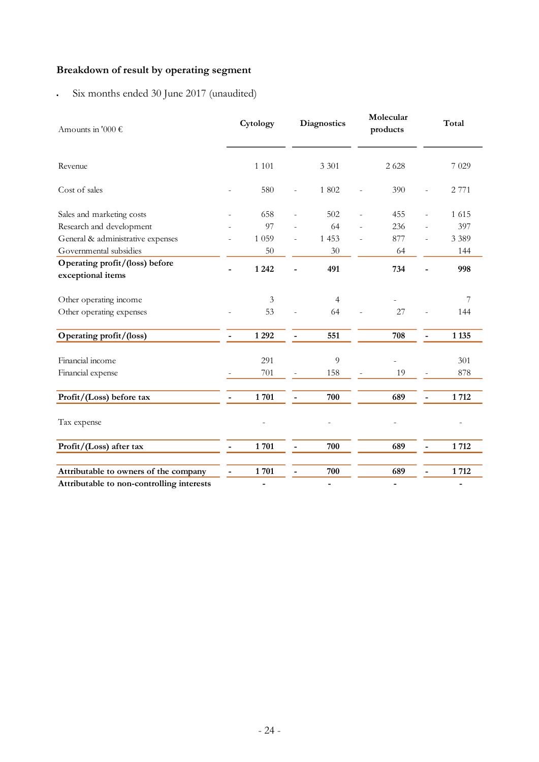## **Breakdown of result by operating segment**

Six months ended 30 June 2017 (unaudited)

| Amounts in '000 $\epsilon$                          | Cytology                 |     |                | <b>Diagnostics</b> |                | Molecular<br>products    |                          | Total   |
|-----------------------------------------------------|--------------------------|-----|----------------|--------------------|----------------|--------------------------|--------------------------|---------|
| Revenue                                             | 1 1 0 1                  |     |                | 3 3 0 1            |                | 2 6 2 8                  |                          | 7 0 2 9 |
| Cost of sales                                       |                          | 580 | ÷,             | 1 802              |                | 390                      |                          | 2 7 7 1 |
| Sales and marketing costs                           |                          | 658 |                | 502                | $\overline{a}$ | 455                      | $\blacksquare$           | 1 6 1 5 |
| Research and development                            |                          | 97  |                | 64                 |                | 236                      |                          | 397     |
| General & administrative expenses                   | 1 0 5 9                  |     |                | 1 4 5 3            |                | 877                      |                          | 3 3 8 9 |
| Governmental subsidies                              |                          | 50  |                | 30                 |                | 64                       |                          | 144     |
| Operating profit/(loss) before<br>exceptional items | 1 2 4 2                  |     |                | 491                |                | 734                      |                          | 998     |
| Other operating income                              |                          | 3   |                | $\overline{4}$     |                |                          |                          | 7       |
| Other operating expenses                            |                          | 53  |                | 64                 |                | 27                       |                          | 144     |
| Operating profit/(loss)                             | 1 2 9 2                  |     | $\blacksquare$ | 551                |                | 708                      | $\overline{\phantom{a}}$ | 1 1 35  |
| Financial income                                    |                          | 291 |                | 9                  |                |                          |                          | 301     |
| Financial expense                                   |                          | 701 |                | 158                |                | 19                       |                          | 878     |
| Profit/(Loss) before tax                            | 1701                     |     | ä,             | 700                |                | 689                      |                          | 1712    |
| Tax expense                                         |                          |     |                |                    |                |                          |                          |         |
| Profit/(Loss) after tax                             | 1701                     |     | ÷,             | 700                |                | 689                      | ÷,                       | 1712    |
| Attributable to owners of the company               | 1701                     |     |                | 700                |                | 689                      | $\overline{\phantom{m}}$ | 1712    |
| Attributable to non-controlling interests           | $\overline{\phantom{a}}$ |     |                | ۰                  |                | $\overline{\phantom{a}}$ |                          | ۰       |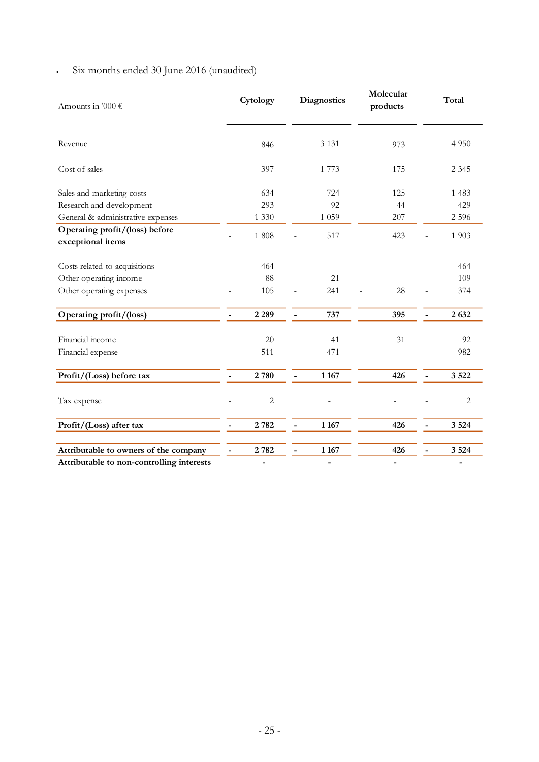Six months ended 30 June 2016 (unaudited)

| Amounts in '000 $\epsilon$                          | Cytology                 |                          | <b>Diagnostics</b> |                | Molecular<br>products    |                          | Total      |
|-----------------------------------------------------|--------------------------|--------------------------|--------------------|----------------|--------------------------|--------------------------|------------|
| Revenue                                             | 846                      |                          | 3 1 3 1            |                | 973                      |                          | 4 9 5 0    |
| Cost of sales                                       | 397                      |                          | 1 773              |                | 175                      |                          | 2 3 4 5    |
| Sales and marketing costs                           | 634                      |                          | 724                | $\blacksquare$ | 125                      | $\overline{\phantom{0}}$ | 1 4 8 3    |
| Research and development                            | 293                      |                          | 92                 |                | 44                       |                          | 429        |
| General & administrative expenses                   | 1 3 3 0                  | $\overline{\phantom{a}}$ | 1 0 5 9            |                | 207                      | $\equiv$                 | 2 5 9 6    |
| Operating profit/(loss) before<br>exceptional items | 1 808                    |                          | 517                |                | 423                      |                          | 1 9 0 3    |
| Costs related to acquisitions                       | 464                      |                          |                    |                |                          |                          | 464        |
| Other operating income                              | 88                       |                          | 21                 |                |                          |                          | 109        |
| Other operating expenses                            | 105                      |                          | 241                |                | 28                       |                          | 374        |
| Operating profit/(loss)                             | 2 2 8 9                  | $\frac{1}{2}$            | 737                |                | 395                      | $\overline{\phantom{a}}$ | 2632       |
| Financial income                                    | 20                       |                          | 41                 |                | 31                       |                          | 92         |
| Financial expense                                   | 511                      |                          | 471                |                |                          |                          | 982        |
| Profit/(Loss) before tax                            | 2780                     | $\blacksquare$           | 1 1 6 7            |                | 426                      | $\blacksquare$           | 3 5 2 2    |
| Tax expense                                         | $\sqrt{2}$               |                          |                    |                |                          |                          | $\sqrt{2}$ |
| Profit/(Loss) after tax                             | 2782                     | $\blacksquare$           | 1 1 6 7            |                | 426                      | ÷,                       | 3 5 24     |
| Attributable to owners of the company               | 2782                     |                          | 1 1 6 7            |                | 426                      |                          | 3 5 24     |
| Attributable to non-controlling interests           | $\overline{\phantom{a}}$ |                          | ۰                  |                | $\overline{\phantom{a}}$ |                          | ۰          |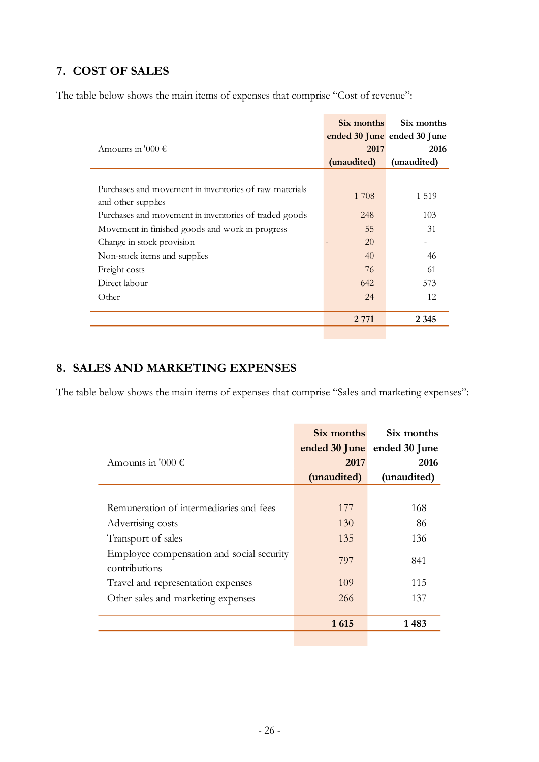## **7. COST OF SALES**

The table below shows the main items of expenses that comprise "Cost of revenue":

|                                                                              | Six months  | Six months<br>ended 30 June ended 30 June |
|------------------------------------------------------------------------------|-------------|-------------------------------------------|
| Amounts in '000 $\epsilon$                                                   | 2017        | 2016                                      |
|                                                                              | (unaudited) | (unaudited)                               |
| Purchases and movement in inventories of raw materials<br>and other supplies | 1 708       | 1 5 1 9                                   |
| Purchases and movement in inventories of traded goods                        | 248         | 103                                       |
| Movement in finished goods and work in progress                              | 55          | 31                                        |
| Change in stock provision                                                    | 20          |                                           |
| Non-stock items and supplies                                                 | 40          | 46                                        |
| Freight costs                                                                | 76          | 61                                        |
| Direct labour                                                                | 642         | 573                                       |
| Other                                                                        | 24          | 12                                        |
|                                                                              | 2 7 7 1     | 2 3 4 5                                   |
|                                                                              |             |                                           |

## **8. SALES AND MARKETING EXPENSES**

The table below shows the main items of expenses that comprise "Sales and marketing expenses":

| Amounts in '000 $\epsilon$                                 | Six months<br>ended 30 June<br>2017<br>(unaudited) | Six months<br>ended 30 June<br>2016<br>(unaudited) |
|------------------------------------------------------------|----------------------------------------------------|----------------------------------------------------|
|                                                            |                                                    |                                                    |
| Remuneration of intermediaries and fees                    | 177                                                | 168                                                |
| Advertising costs                                          | 130                                                | 86                                                 |
| Transport of sales                                         | 135                                                | 136                                                |
| Employee compensation and social security<br>contributions | 797                                                | 841                                                |
| Travel and representation expenses                         | 109                                                | 115                                                |
| Other sales and marketing expenses                         | 266                                                | 137                                                |
|                                                            | 1615                                               | 1483                                               |
|                                                            |                                                    |                                                    |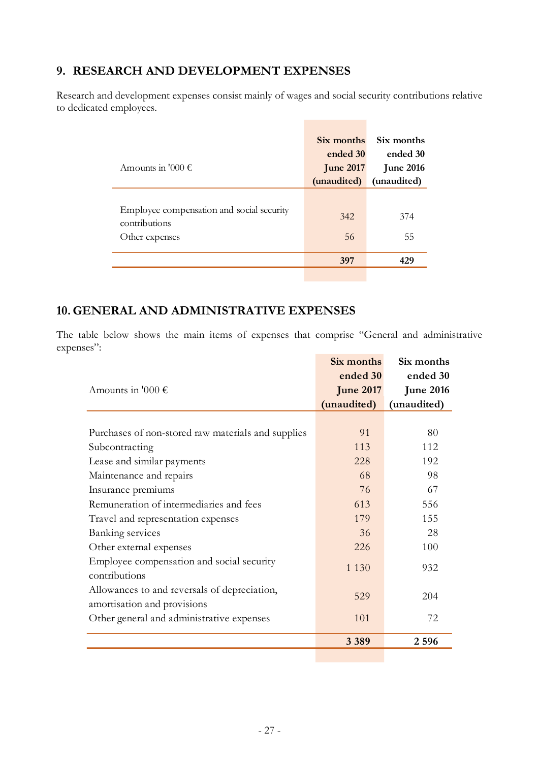## **9. RESEARCH AND DEVELOPMENT EXPENSES**

Research and development expenses consist mainly of wages and social security contributions relative to dedicated employees.

| Amounts in '000 $\epsilon$                                                   | Six months<br>ended 30<br><b>June 2017</b><br>(unaudited) | Six months<br>ended 30<br><b>June 2016</b><br>(unaudited) |
|------------------------------------------------------------------------------|-----------------------------------------------------------|-----------------------------------------------------------|
| Employee compensation and social security<br>contributions<br>Other expenses | 342<br>56                                                 | 374<br>55                                                 |
|                                                                              | 397                                                       | 429                                                       |
|                                                                              |                                                           |                                                           |

### **10. GENERAL AND ADMINISTRATIVE EXPENSES**

The table below shows the main items of expenses that comprise "General and administrative expenses":

|                                                                             | ended 30<br><b>June 2017</b> | ended 30<br><b>June 2016</b> |
|-----------------------------------------------------------------------------|------------------------------|------------------------------|
|                                                                             |                              |                              |
| Amounts in '000 $\epsilon$                                                  |                              |                              |
|                                                                             | (unaudited)                  | (unaudited)                  |
|                                                                             |                              |                              |
| Purchases of non-stored raw materials and supplies                          | 91                           | 80                           |
| Subcontracting                                                              | 113                          | 112                          |
| Lease and similar payments                                                  | 228                          | 192                          |
| Maintenance and repairs                                                     | 68                           | 98                           |
| Insurance premiums                                                          | 76                           | 67                           |
| Remuneration of intermediaries and fees                                     | 613                          | 556                          |
| Travel and representation expenses                                          | 179                          | 155                          |
| <b>Banking services</b>                                                     | 36                           | 28                           |
| Other external expenses                                                     | 226                          | 100                          |
| Employee compensation and social security<br>contributions                  | 1 1 3 0                      | 932                          |
| Allowances to and reversals of depreciation,<br>amortisation and provisions | 529                          | 204                          |
| Other general and administrative expenses                                   | 101                          | 72                           |
|                                                                             | 3 3 8 9                      | 2 5 9 6                      |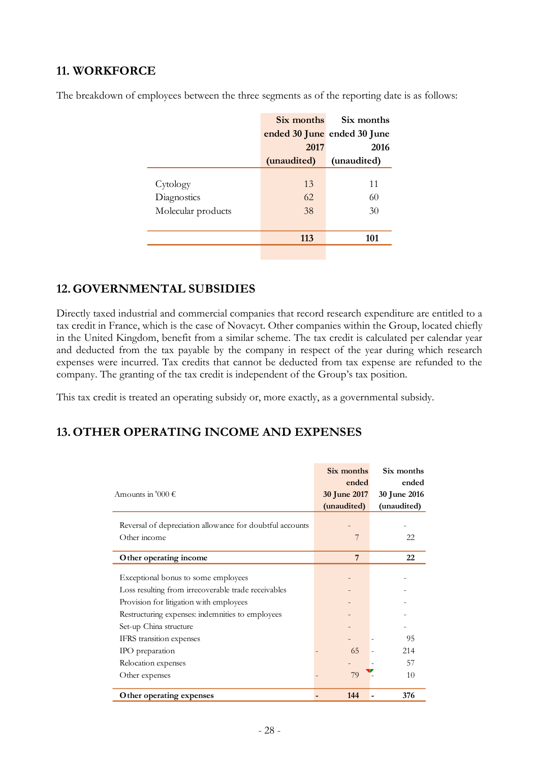### **11. WORKFORCE**

|                    | Six months  | Six months                  |
|--------------------|-------------|-----------------------------|
|                    |             | ended 30 June ended 30 June |
|                    | 2017        | 2016                        |
|                    | (unaudited) | (unaudited)                 |
|                    |             |                             |
| Cytology           | 13          | 11                          |
| Diagnostics        | 62          | 60                          |
| Molecular products | 38          | 30                          |
|                    |             |                             |
|                    | 113         | 101                         |
|                    |             |                             |

The breakdown of employees between the three segments as of the reporting date is as follows:

## **12. GOVERNMENTAL SUBSIDIES**

Directly taxed industrial and commercial companies that record research expenditure are entitled to a tax credit in France, which is the case of Novacyt. Other companies within the Group, located chiefly in the United Kingdom, benefit from a similar scheme. The tax credit is calculated per calendar year and deducted from the tax payable by the company in respect of the year during which research expenses were incurred. Tax credits that cannot be deducted from tax expense are refunded to the company. The granting of the tax credit is independent of the Group's tax position.

This tax credit is treated an operating subsidy or, more exactly, as a governmental subsidy.

## **13.OTHER OPERATING INCOME AND EXPENSES**

| Amounts in '000 $\epsilon$                                                                                                                                                                                                                                                                                  | Six months<br>ended<br><b>30 June 2017</b><br>(unaudited) | Six months<br>ended<br>30 June 2016<br>(unaudited) |
|-------------------------------------------------------------------------------------------------------------------------------------------------------------------------------------------------------------------------------------------------------------------------------------------------------------|-----------------------------------------------------------|----------------------------------------------------|
| Reversal of depreciation allowance for doubtful accounts<br>Other income                                                                                                                                                                                                                                    | 7                                                         | 22                                                 |
| Other operating income                                                                                                                                                                                                                                                                                      | 7                                                         | 22                                                 |
| Exceptional bonus to some employees<br>Loss resulting from irrecoverable trade receivables<br>Provision for litigation with employees<br>Restructuring expenses: indemnities to employees<br>Set-up China structure<br>IFRS transition expenses<br>IPO preparation<br>Relocation expenses<br>Other expenses | 65<br>79                                                  | 95<br>214<br>57<br>10                              |
| Other operating expenses                                                                                                                                                                                                                                                                                    | 144                                                       | 376                                                |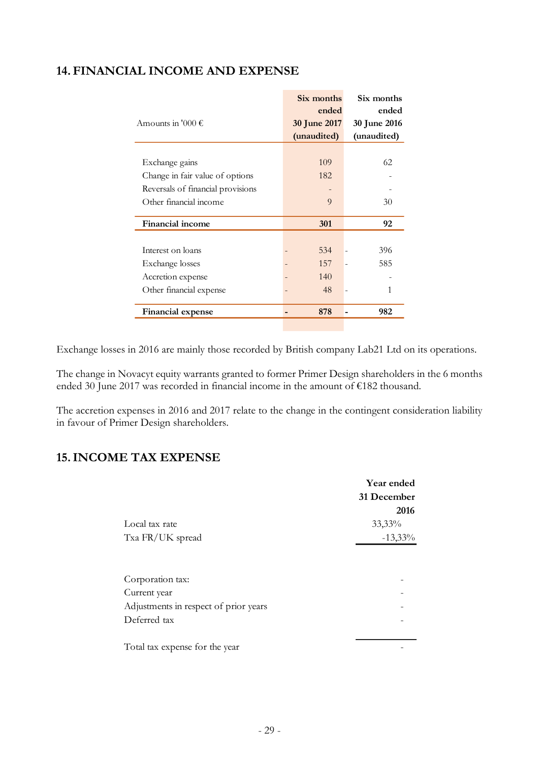|                                   | Six months          | Six months   |
|-----------------------------------|---------------------|--------------|
|                                   | ended               | ended        |
| Amounts in '000 $\epsilon$        | <b>30 June 2017</b> | 30 June 2016 |
|                                   | (unaudited)         | (unaudited)  |
|                                   |                     |              |
| Exchange gains                    | 109                 | 62           |
| Change in fair value of options   | 182                 |              |
| Reversals of financial provisions |                     |              |
| Other financial income            | $\overline{Q}$      | 30           |
|                                   |                     |              |
| <b>Financial income</b>           | 301                 | 92           |
|                                   |                     |              |
| Interest on loans                 | 534                 | 396          |
| Exchange losses                   | 157                 | 585          |
| Accretion expense                 | 140                 |              |
| Other financial expense           | 48                  | 1            |
|                                   |                     |              |
| <b>Financial expense</b>          | 878                 | 982          |
|                                   |                     |              |

## **14. FINANCIAL INCOME AND EXPENSE**

Exchange losses in 2016 are mainly those recorded by British company Lab21 Ltd on its operations.

The change in Novacyt equity warrants granted to former Primer Design shareholders in the 6 months ended 30 June 2017 was recorded in financial income in the amount of €182 thousand.

The accretion expenses in 2016 and 2017 relate to the change in the contingent consideration liability in favour of Primer Design shareholders.

## **15.INCOME TAX EXPENSE**

|                                       | Year ended  |
|---------------------------------------|-------------|
|                                       | 31 December |
|                                       | 2016        |
| Local tax rate                        | 33,33%      |
| Txa FR/UK spread                      | $-13,33\%$  |
|                                       |             |
| Corporation tax:                      |             |
| Current year                          |             |
| Adjustments in respect of prior years |             |
| Deferred tax                          |             |
|                                       |             |
| Total tax expense for the year        |             |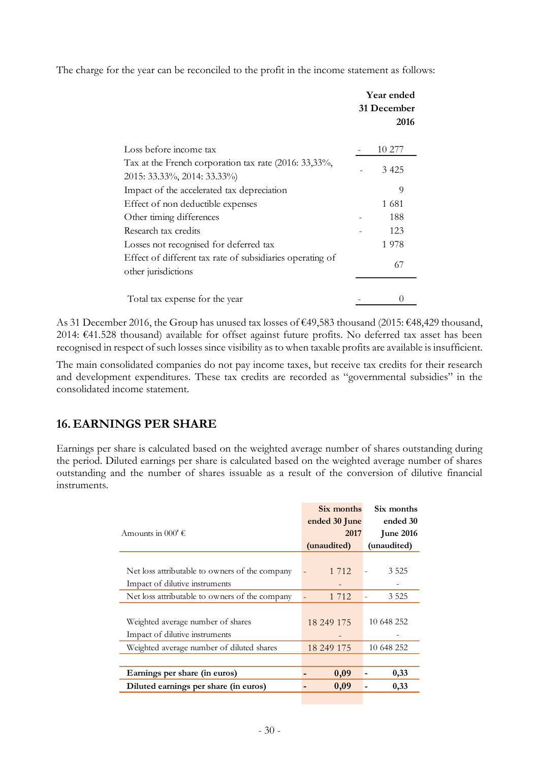The charge for the year can be reconciled to the profit in the income statement as follows:

|                                                                                      |  | <b>Year ended</b><br>31 December<br>2016 |  |  |
|--------------------------------------------------------------------------------------|--|------------------------------------------|--|--|
| Loss before income tax                                                               |  | 10 277                                   |  |  |
| Tax at the French corporation tax rate (2016: 33,33%,<br>2015: 33.33%, 2014: 33.33%) |  | 3425                                     |  |  |
| Impact of the accelerated tax depreciation                                           |  | 9                                        |  |  |
| Effect of non deductible expenses                                                    |  | 1681                                     |  |  |
| Other timing differences                                                             |  | 188                                      |  |  |
| Research tax credits                                                                 |  | 123                                      |  |  |
| Losses not recognised for deferred tax                                               |  | 1978                                     |  |  |
| Effect of different tax rate of subsidiaries operating of<br>other jurisdictions     |  | 67                                       |  |  |
| Total tax expense for the year                                                       |  |                                          |  |  |

As 31 December 2016, the Group has unused tax losses of €49,583 thousand (2015: €48,429 thousand, 2014: €41.528 thousand) available for offset against future profits. No deferred tax asset has been recognised in respect of such losses since visibility as to when taxable profits are available is insufficient.

The main consolidated companies do not pay income taxes, but receive tax credits for their research and development expenditures. These tax credits are recorded as "governmental subsidies" in the consolidated income statement.

## **16. EARNINGS PER SHARE**

Earnings per share is calculated based on the weighted average number of shares outstanding during the period. Diluted earnings per share is calculated based on the weighted average number of shares outstanding and the number of shares issuable as a result of the conversion of dilutive financial instruments.

| Amounts in 000' $\epsilon$                                                                                                         | Six months<br>ended 30 June<br>2017<br>(unaudited) | Six months<br>ended 30<br><b>June 2016</b><br>(unaudited) |
|------------------------------------------------------------------------------------------------------------------------------------|----------------------------------------------------|-----------------------------------------------------------|
| Net loss attributable to owners of the company<br>Impact of dilutive instruments<br>Net loss attributable to owners of the company | 1 7 1 2<br>1 7 1 2                                 | 3 5 2 5<br>3 5 2 5                                        |
| Weighted average number of shares<br>Impact of dilutive instruments                                                                | 18 249 175                                         | 10 648 252                                                |
| Weighted average number of diluted shares<br>Earnings per share (in euros)                                                         | 18 249 175<br>0,09                                 | 10 648 252<br>0,33                                        |
| Diluted earnings per share (in euros)                                                                                              | 0,09                                               | 0,33                                                      |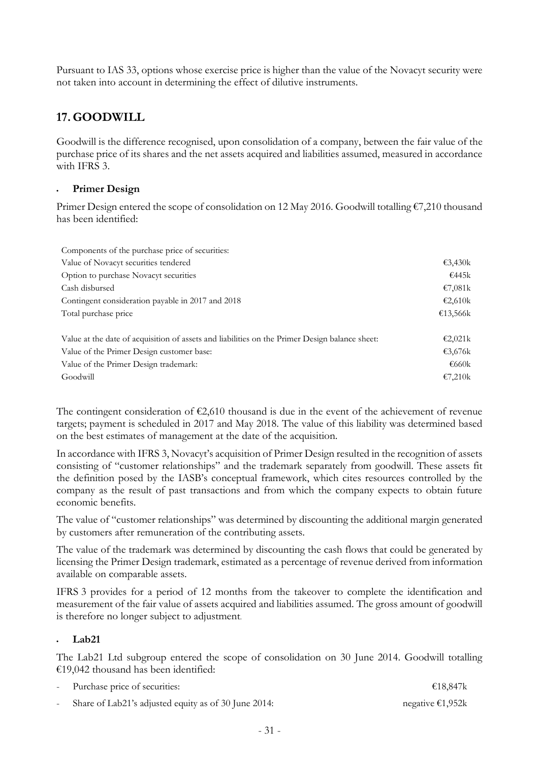Pursuant to IAS 33, options whose exercise price is higher than the value of the Novacyt security were not taken into account in determining the effect of dilutive instruments.

## **17. GOODWILL**

Goodwill is the difference recognised, upon consolidation of a company, between the fair value of the purchase price of its shares and the net assets acquired and liabilities assumed, measured in accordance with IFRS 3

#### **Primer Design**

Primer Design entered the scope of consolidation on 12 May 2016. Goodwill totalling  $\epsilon$ 7,210 thousand has been identified:

| Components of the purchase price of securities:                                                |                      |
|------------------------------------------------------------------------------------------------|----------------------|
| Value of Novacyt securities tendered                                                           | $\epsilon$ 3,430 $k$ |
| Option to purchase Novacyt securities                                                          | €445k                |
| Cash disbursed                                                                                 | €7,081 $k$           |
| Contingent consideration payable in 2017 and 2018                                              | $\epsilon$ 2,610k    |
| Total purchase price                                                                           | €13,566k             |
| Value at the date of acquisition of assets and liabilities on the Primer Design balance sheet: | €2,021 $k$           |
| Value of the Primer Design customer base:                                                      | €3,676 $k$           |
| Value of the Primer Design trademark:                                                          | $\epsilon$ 660k      |
| Goodwill                                                                                       | €7,210 $k$           |

The contingent consideration of  $\epsilon$ 2,610 thousand is due in the event of the achievement of revenue targets; payment is scheduled in 2017 and May 2018. The value of this liability was determined based on the best estimates of management at the date of the acquisition.

In accordance with IFRS 3, Novacyt's acquisition of Primer Design resulted in the recognition of assets consisting of "customer relationships" and the trademark separately from goodwill. These assets fit the definition posed by the IASB's conceptual framework, which cites resources controlled by the company as the result of past transactions and from which the company expects to obtain future economic benefits.

The value of "customer relationships" was determined by discounting the additional margin generated by customers after remuneration of the contributing assets.

The value of the trademark was determined by discounting the cash flows that could be generated by licensing the Primer Design trademark, estimated as a percentage of revenue derived from information available on comparable assets.

IFRS 3 provides for a period of 12 months from the takeover to complete the identification and measurement of the fair value of assets acquired and liabilities assumed. The gross amount of goodwill is therefore no longer subject to adjustment.

#### **Lab21**

The Lab21 Ltd subgroup entered the scope of consolidation on 30 June 2014. Goodwill totalling €19,042 thousand has been identified:

| - Purchase price of securities: | €18,847k |
|---------------------------------|----------|
|                                 |          |

Share of Lab21's adjusted equity as of 30 June 2014: negative  $\epsilon$ 1,952k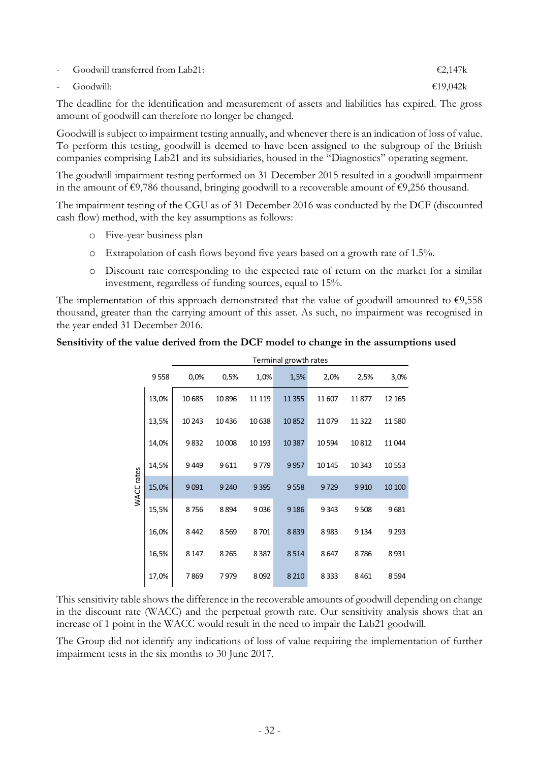| - Goodwill transferred from Lab21: | €2.147k  |
|------------------------------------|----------|
| - Goodwill:                        | €19,042k |

The deadline for the identification and measurement of assets and liabilities has expired. The gross amount of goodwill can therefore no longer be changed.

Goodwill is subject to impairment testing annually, and whenever there is an indication of loss of value. To perform this testing, goodwill is deemed to have been assigned to the subgroup of the British companies comprising Lab21 and its subsidiaries, housed in the "Diagnostics" operating segment.

The goodwill impairment testing performed on 31 December 2015 resulted in a goodwill impairment in the amount of €9,786 thousand, bringing goodwill to a recoverable amount of €9,256 thousand.

The impairment testing of the CGU as of 31 December 2016 was conducted by the DCF (discounted cash flow) method, with the key assumptions as follows:

- o Five-year business plan
- o Extrapolation of cash flows beyond five years based on a growth rate of 1.5%.
- o Discount rate corresponding to the expected rate of return on the market for a similar investment, regardless of funding sources, equal to 15%.

The implementation of this approach demonstrated that the value of goodwill amounted to  $\epsilon$ 9,558 thousand, greater than the carrying amount of this asset. As such, no impairment was recognised in the year ended 31 December 2016.

#### **Sensitivity of the value derived from the DCF model to change in the assumptions used**

|            |       | Terminal growth rates |         |         |          |        |         |         |  |
|------------|-------|-----------------------|---------|---------|----------|--------|---------|---------|--|
|            | 9558  | 0,0%                  | 0,5%    | 1,0%    | 1,5%     | 2,0%   | 2,5%    | 3,0%    |  |
|            | 13,0% | 10 685                | 10896   | 11 1 19 | 11 3 5 5 | 11607  | 11877   | 12 165  |  |
|            | 13,5% | 10 24 3               | 10436   | 10638   | 10852    | 11079  | 11 3 22 | 11580   |  |
|            | 14,0% | 9832                  | 10 008  | 10 193  | 10 3 87  | 10594  | 10812   | 11044   |  |
|            | 14,5% | 9449                  | 9611    | 9779    | 9957     | 10 145 | 10 343  | 10553   |  |
| WACC rates | 15,0% | 9091                  | 9 2 4 0 | 9 3 9 5 | 9558     | 9729   | 9910    | 10 100  |  |
|            | 15,5% | 8756                  | 8894    | 9036    | 9 1 8 6  | 9343   | 9508    | 9681    |  |
|            | 16,0% | 8442                  | 8569    | 8701    | 8839     | 8983   | 9 1 3 4 | 9 2 9 3 |  |
|            | 16,5% | 8 1 4 7               | 8265    | 8387    | 8514     | 8647   | 8786    | 8931    |  |
|            | 17,0% | 7869                  | 7979    | 8092    | 8 2 1 0  | 8333   | 8461    | 8594    |  |

This sensitivity table shows the difference in the recoverable amounts of goodwill depending on change in the discount rate (WACC) and the perpetual growth rate. Our sensitivity analysis shows that an increase of 1 point in the WACC would result in the need to impair the Lab21 goodwill.

The Group did not identify any indications of loss of value requiring the implementation of further impairment tests in the six months to 30 June 2017.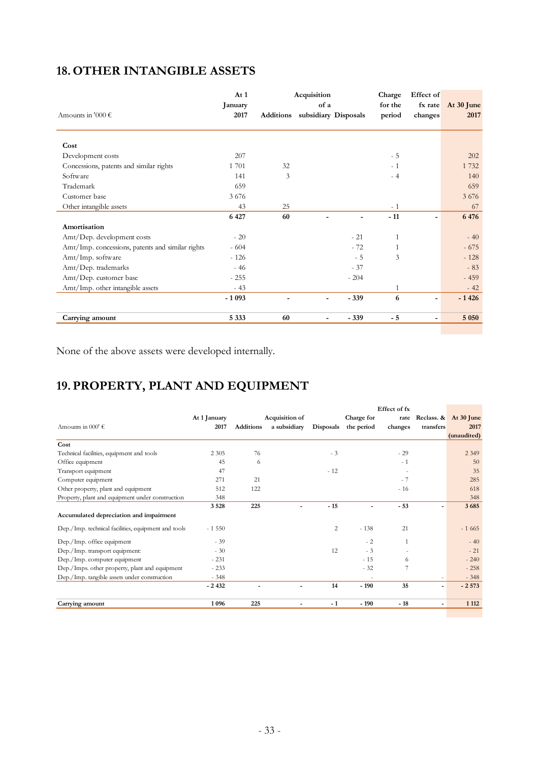## **18.OTHER INTANGIBLE ASSETS**

|                                                  | At 1            | Acquisition |      |                      | Effect of<br>Charge |                          |                    |  |
|--------------------------------------------------|-----------------|-------------|------|----------------------|---------------------|--------------------------|--------------------|--|
| Amounts in '000 $\epsilon$                       | January<br>2017 | Additions   | of a | subsidiary Disposals | for the<br>period   | fx rate<br>changes       | At 30 June<br>2017 |  |
| Cost                                             |                 |             |      |                      |                     |                          |                    |  |
| Development costs                                | 207             |             |      |                      | $-5$                |                          | 202                |  |
| Concessions, patents and similar rights          | 1 701           | 32          |      |                      | $-1$                |                          | 1 7 3 2            |  |
| Software                                         | 141             | 3           |      |                      | $-4$                |                          | 140                |  |
| Trademark                                        | 659             |             |      |                      |                     |                          | 659                |  |
| Customer base                                    | 3676            |             |      |                      |                     |                          | 3676               |  |
| Other intangible assets                          | 43              | 25          |      |                      | $-1$                |                          | 67                 |  |
|                                                  | 6 4 27          | 60          |      |                      | $-11$               |                          | 6476               |  |
| Amortisation                                     |                 |             |      |                      |                     |                          |                    |  |
| Amt/Dep. development costs                       | $-20$           |             |      | $-21$                | 1                   |                          | $-40$              |  |
| Amt/Imp. concessions, patents and similar rights | $-604$          |             |      | $-72$                | 1                   |                          | $-675$             |  |
| Amt/Imp. software                                | $-126$          |             |      | $-5$                 | 3                   |                          | $-128$             |  |
| Amt/Dep. trademarks                              | $-46$           |             |      | $-37$                |                     |                          | $-83$              |  |
| Amt/Dep. customer base                           | $-255$          |             |      | $-204$               |                     |                          | $-459$             |  |
| Amt/Imp. other intangible assets                 | $-43$           |             |      |                      | 1                   |                          | $-42$              |  |
|                                                  | $-1093$         |             | ÷,   | $-339$               | 6                   | $\overline{\phantom{a}}$ | $-1426$            |  |
| Carrying amount                                  | 5 3 3 3         | 60          | ٠    | $-339$               | $-5$                |                          | 5 0 5 0            |  |

None of the above assets were developed internally.

## **19. PROPERTY, PLANT AND EQUIPMENT**

|                                                     |              |                  |                |                |                | Effect of fx |           |                       |
|-----------------------------------------------------|--------------|------------------|----------------|----------------|----------------|--------------|-----------|-----------------------|
|                                                     | At 1 January |                  | Acquisition of |                | Charge for     | rate         |           | Reclass. & At 30 June |
| Amounts in 000' $\epsilon$                          | 2017         | <b>Additions</b> | a subsidiary   | Disposals      | the period     | changes      | transfers | 2017                  |
|                                                     |              |                  |                |                |                |              |           | (unaudited)           |
| Cost                                                |              |                  |                |                |                |              |           |                       |
| Technical facilities, equipment and tools           | 2 3 0 5      | 76               |                | $-3$           |                | $-29$        |           | 2 3 4 9               |
| Office equipment                                    | 45           | 6                |                |                |                | $-1$         |           | 50                    |
| Transport equipment                                 | 47           |                  |                | $-12$          |                |              |           | 35                    |
| Computer equipment                                  | 271          | 21               |                |                |                | $-7$         |           | 285                   |
| Other property, plant and equipment                 | 512          | 122              |                |                |                | $-16$        |           | 618                   |
| Property, plant and equipment under construction    | 348          |                  |                |                |                |              |           | 348                   |
|                                                     | 3 5 28       | 225              |                | $-15$          | $\blacksquare$ | $-53$        |           | 3685                  |
| Accumulated depreciation and impairment             |              |                  |                |                |                |              |           |                       |
| Dep./Imp. technical facilities, equipment and tools | $-1550$      |                  |                | $\overline{c}$ | $-138$         | 21           |           | $-1665$               |
| Dep./Imp. office equipment                          | $-39$        |                  |                |                | $-2$           |              |           | $-40$                 |
| Dep./Imp. transport equipment:                      | $-30$        |                  |                | 12             | $-3$           |              |           | $-21$                 |
| Dep./Imp. computer equipment                        | $-231$       |                  |                |                | $-15$          | 6            |           | $-240$                |
| Dep./Imps. other property, plant and equipment      | $-233$       |                  |                |                | $-32$          | 7            |           | $-258$                |
| Dep./Imp. tangible assets under construction        | $-348$       |                  |                |                |                |              |           | $-348$                |
|                                                     | $-2432$      |                  |                | 14             | $-190$         | 35           |           | $-2573$               |
| Carrying amount                                     | 1096         | 225              | $\blacksquare$ | $-1$           | $-190$         | $-18$        | ۰         | 1 1 1 2               |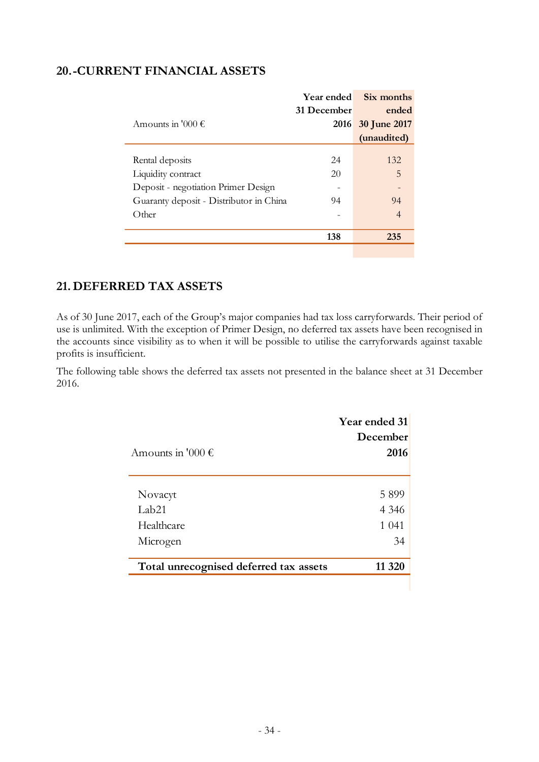|                                         | Year ended  | Six months     |
|-----------------------------------------|-------------|----------------|
|                                         | 31 December | ended          |
| Amounts in '000 $\epsilon$              | 2016        | 30 June 2017   |
|                                         |             | (unaudited)    |
|                                         |             |                |
| Rental deposits                         | 24          | 132            |
| Liquidity contract                      | 20          | 5              |
| Deposit - negotiation Primer Design     |             |                |
| Guaranty deposit - Distributor in China | 94          | 94             |
| Other                                   |             | $\overline{4}$ |
|                                         |             |                |
|                                         | 138         | 235            |
|                                         |             |                |

### **20.-CURRENT FINANCIAL ASSETS**

## **21. DEFERRED TAX ASSETS**

As of 30 June 2017, each of the Group's major companies had tax loss carryforwards. Their period of use is unlimited. With the exception of Primer Design, no deferred tax assets have been recognised in the accounts since visibility as to when it will be possible to utilise the carryforwards against taxable profits is insufficient.

The following table shows the deferred tax assets not presented in the balance sheet at 31 December 2016.

|                                        | Year ended 31<br>December |
|----------------------------------------|---------------------------|
| Amounts in '000 $\epsilon$             | 2016                      |
| Novacyt                                | 5899                      |
| Lab21                                  | 4 3 4 6                   |
| Healthcare                             | 1 0 4 1                   |
| Microgen                               | 34                        |
| Total unrecognised deferred tax assets | 11 320                    |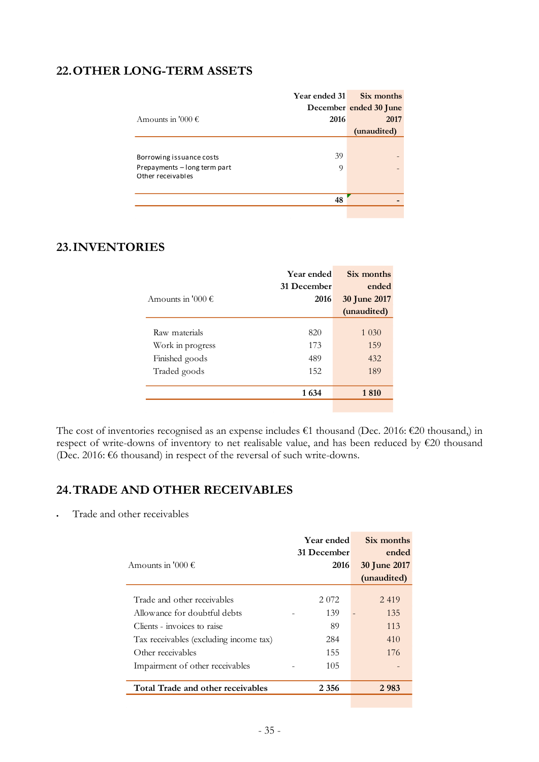### **22.OTHER LONG-TERM ASSETS**

|                                                   | <b>Year ended 31</b> | Six months             |
|---------------------------------------------------|----------------------|------------------------|
|                                                   |                      | December ended 30 June |
| Amounts in '000 $\epsilon$                        | 2016                 | 2017                   |
|                                                   |                      | (unaudited)            |
|                                                   |                      |                        |
| Borrowing issuance costs                          | 39                   |                        |
| Prepayments - long term part<br>Other receivables | 9                    |                        |
|                                                   |                      |                        |
|                                                   | 48                   |                        |
|                                                   |                      |                        |

## **23.INVENTORIES**

| <b>Year ended</b> | Six months          |
|-------------------|---------------------|
| 31 December       | ended               |
| 2016              | <b>30 June 2017</b> |
|                   | (unaudited)         |
|                   |                     |
|                   | 1 0 3 0             |
| 173               | 159                 |
| 489               | 432                 |
| 152               | 189                 |
|                   |                     |
| 1 634             | 1810                |
|                   | 820                 |

The cost of inventories recognised as an expense includes €1 thousand (Dec. 2016: €20 thousand,) in respect of write-downs of inventory to net realisable value, and has been reduced by  $\epsilon$ 20 thousand (Dec. 2016: €6 thousand) in respect of the reversal of such write-downs.

## **24.TRADE AND OTHER RECEIVABLES**

Trade and other receivables

|                                        | Year ended<br>31 December | Six months<br>ended                |
|----------------------------------------|---------------------------|------------------------------------|
| Amounts in '000 $\epsilon$             | 2016                      | <b>30 June 2017</b><br>(unaudited) |
|                                        |                           |                                    |
| Trade and other receivables            | 2 0 7 2                   | 2419                               |
| Allowance for doubtful debts           | 139                       | 135                                |
| Clients - invoices to raise            | 89                        | 113                                |
| Tax receivables (excluding income tax) | 284                       | 410                                |
| Other receivables                      | 155                       | 176                                |
| Impairment of other receivables        | 105                       |                                    |
| Total Trade and other receivables      | 2 3 5 6                   | 2983                               |
|                                        |                           |                                    |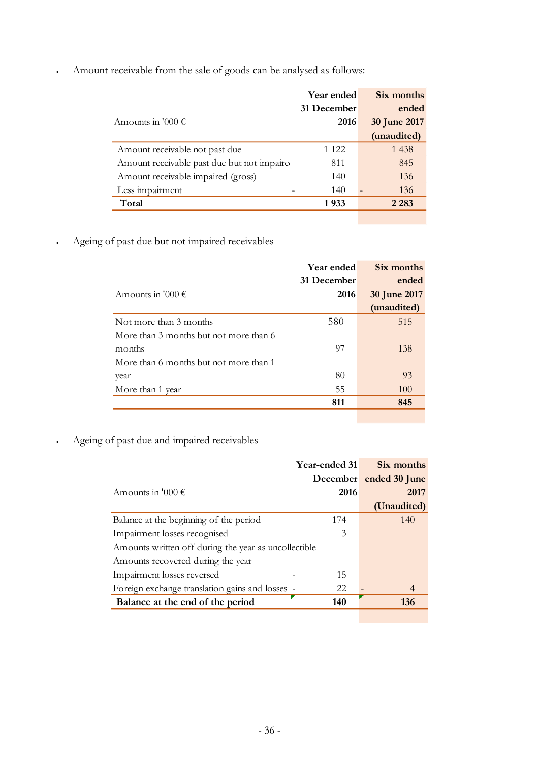Amount receivable from the sale of goods can be analysed as follows:

|                                            | Year ended  | Six months   |
|--------------------------------------------|-------------|--------------|
|                                            | 31 December | ended        |
| Amounts in '000 $\epsilon$                 | 2016        | 30 June 2017 |
|                                            |             | (unaudited)  |
| Amount receivable not past due             | 1 1 2 2     | 1 4 3 8      |
| Amount receivable past due but not impaire | 811         | 845          |
| Amount receivable impaired (gross)         | 140         | 136          |
| Less impairment                            | 140         | 136          |
| Total                                      | 1933        | 2 2 8 3      |
|                                            |             |              |

Ageing of past due but not impaired receivables

|                                        | Year ended  | Six months   |
|----------------------------------------|-------------|--------------|
|                                        | 31 December | ended        |
| Amounts in '000 $\epsilon$             | 2016        | 30 June 2017 |
|                                        |             | (unaudited)  |
| Not more than 3 months                 | 580         | 515          |
| More than 3 months but not more than 6 |             |              |
| months                                 | 97          | 138          |
| More than 6 months but not more than 1 |             |              |
| year                                   | 80          | 93           |
| More than 1 year                       | 55          | 100          |
|                                        | 811         | 845          |
|                                        |             |              |

Ageing of past due and impaired receivables

|                                                      | Year-ended 31 | Six months             |
|------------------------------------------------------|---------------|------------------------|
|                                                      |               | December ended 30 June |
| Amounts in '000 $\epsilon$                           | 2016          | 2017                   |
|                                                      |               | (Unaudited)            |
| Balance at the beginning of the period               | 174           | 140                    |
| Impairment losses recognised                         | 3             |                        |
| Amounts written off during the year as uncollectible |               |                        |
| Amounts recovered during the year                    |               |                        |
| Impairment losses reversed                           | 15            |                        |
| Foreign exchange translation gains and losses -      | 22            | $\overline{4}$         |
| Balance at the end of the period                     | 140           | 136                    |
|                                                      |               |                        |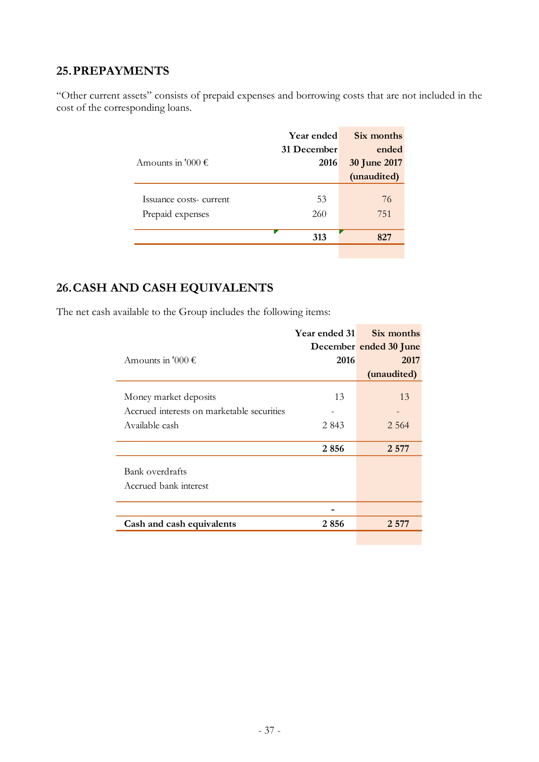## **25.PREPAYMENTS**

"Other current assets" consists of prepaid expenses and borrowing costs that are not included in the cost of the corresponding loans.

|                            | <b>Year ended</b> | Six months   |
|----------------------------|-------------------|--------------|
|                            | 31 December       | ended        |
| Amounts in '000 $\epsilon$ | 2016              | 30 June 2017 |
|                            |                   | (unaudited)  |
|                            |                   |              |
| Issuance costs-current     | 53                | 76           |
| Prepaid expenses           | 260               | 751          |
|                            | 313               | 827          |
|                            |                   |              |

## **26.CASH AND CASH EQUIVALENTS**

The net cash available to the Group includes the following items:

|                                            | Year ended 31 | Six months             |
|--------------------------------------------|---------------|------------------------|
|                                            |               | December ended 30 June |
| Amounts in '000 $\epsilon$                 | 2016          | 2017                   |
|                                            |               | (unaudited)            |
| Money market deposits                      | 13            | 13                     |
| Accrued interests on marketable securities |               |                        |
| Available cash                             | 2 8 4 3       | 2 5 6 4                |
|                                            | 2856          | 2 5 7 7                |
| Bank overdrafts<br>Accrued bank interest   |               |                        |
|                                            |               |                        |
| Cash and cash equivalents                  | 2856          | 2 5 7 7                |
|                                            |               |                        |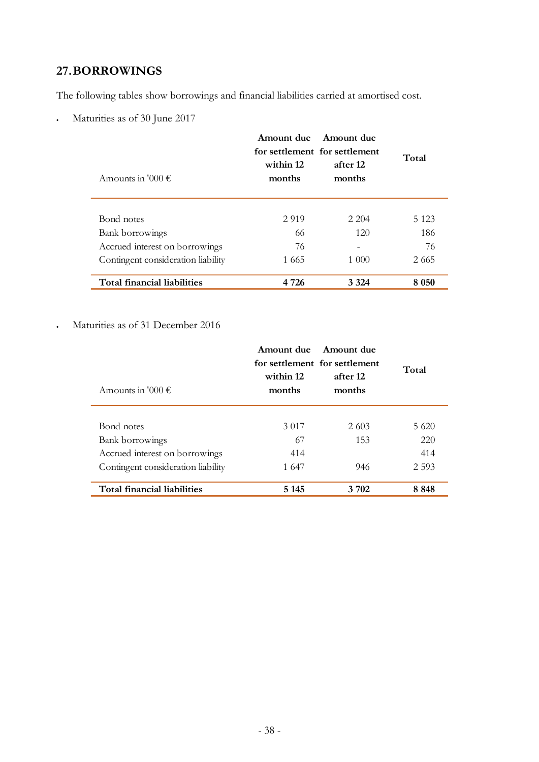## **27.BORROWINGS**

The following tables show borrowings and financial liabilities carried at amortised cost.

Maturities as of 30 June 2017

| Amounts in '000 $\epsilon$         | within 12<br>months | Amount due Amount due<br>for settlement for settlement<br>after 12<br>months | Total   |
|------------------------------------|---------------------|------------------------------------------------------------------------------|---------|
| Bond notes                         | 2.919               | 2 2 0 4                                                                      | 5 1 2 3 |
| Bank borrowings                    | 66                  | 120                                                                          | 186     |
| Accrued interest on borrowings     | 76                  | -                                                                            | 76      |
| Contingent consideration liability | 1 665               | 1 000                                                                        | 2.665   |
| Total financial liabilities        | 4 7 2 6             | 3 3 2 4                                                                      | 8 0 5 0 |

### Maturities as of 31 December 2016

| Amounts in '000 $\epsilon$         | Amount due<br>within 12<br>months | - Amount due<br>for settlement for settlement<br>after 12<br>months | Total |
|------------------------------------|-----------------------------------|---------------------------------------------------------------------|-------|
|                                    |                                   |                                                                     |       |
| Bond notes                         | 3 0 1 7                           | 2.603                                                               | 5.620 |
| Bank borrowings                    | 67                                | 153                                                                 | 220   |
| Accrued interest on borrowings     | 414                               |                                                                     | 414   |
| Contingent consideration liability | 1 647                             | 946                                                                 | 2.593 |
| Total financial liabilities        | 5 1 4 5                           | 3 702                                                               | 8848  |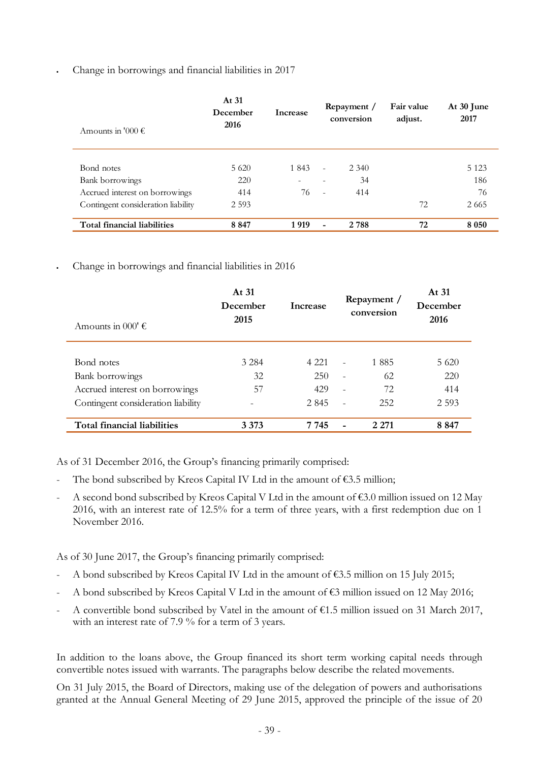Change in borrowings and financial liabilities in 2017

| Amounts in '000 $\epsilon$         | At 31<br>December<br>2016 | <b>Increase</b> | Repayment /<br>conversion |         | Fair value<br>adjust. | At 30 June<br>2017 |
|------------------------------------|---------------------------|-----------------|---------------------------|---------|-----------------------|--------------------|
| Bond notes                         | 5620                      | 1 843           | $\blacksquare$            | 2 3 4 0 |                       | 5 1 2 3            |
| Bank borrowings                    | 220                       |                 |                           | 34      |                       | 186                |
| Accrued interest on borrowings     | 414                       | 76              | $\sim$                    | 414     |                       | 76                 |
| Contingent consideration liability | 2 5 9 3                   |                 |                           |         | 72                    | 2 6 6 5            |
| Total financial liabilities        | 8 8 4 7                   | 1919            | $\overline{\phantom{a}}$  | 2 7 8 8 | 72                    | 8 0 5 0            |

Change in borrowings and financial liabilities in 2016

| Amounts in 000' $\epsilon$         | At $31$<br>December<br>2015 | <b>Increase</b> |                          | Repayment /<br>conversion | At 31<br>December<br>2016 |
|------------------------------------|-----------------------------|-----------------|--------------------------|---------------------------|---------------------------|
|                                    |                             |                 |                          |                           |                           |
| Bond notes                         | 3 2 8 4                     | 4 2 2 1         |                          | 1885                      | 5 6 2 0                   |
| Bank borrowings                    | 32                          | 250             | $\overline{\phantom{a}}$ | 62                        | 220                       |
| Accrued interest on borrowings     | 57                          | 429             |                          | 72                        | 414                       |
| Contingent consideration liability |                             | 2 8 4 5         |                          | 252                       | 2.593                     |
| <b>Total financial liabilities</b> | 3 3 7 3                     | 7 745           |                          | 2 2 7 1                   | 8 8 4 7                   |

As of 31 December 2016, the Group's financing primarily comprised:

- The bond subscribed by Kreos Capital IV Ltd in the amount of  $€3.5$  million;
- A second bond subscribed by Kreos Capital V Ltd in the amount of  $\epsilon$ 3.0 million issued on 12 May 2016, with an interest rate of 12.5% for a term of three years, with a first redemption due on 1 November 2016.

As of 30 June 2017, the Group's financing primarily comprised:

- A bond subscribed by Kreos Capital IV Ltd in the amount of €3.5 million on 15 July 2015;
- A bond subscribed by Kreos Capital V Ltd in the amount of €3 million issued on 12 May 2016;
- A convertible bond subscribed by Vatel in the amount of  $\epsilon$ 1.5 million issued on 31 March 2017, with an interest rate of 7.9 % for a term of 3 years.

In addition to the loans above, the Group financed its short term working capital needs through convertible notes issued with warrants. The paragraphs below describe the related movements.

On 31 July 2015, the Board of Directors, making use of the delegation of powers and authorisations granted at the Annual General Meeting of 29 June 2015, approved the principle of the issue of 20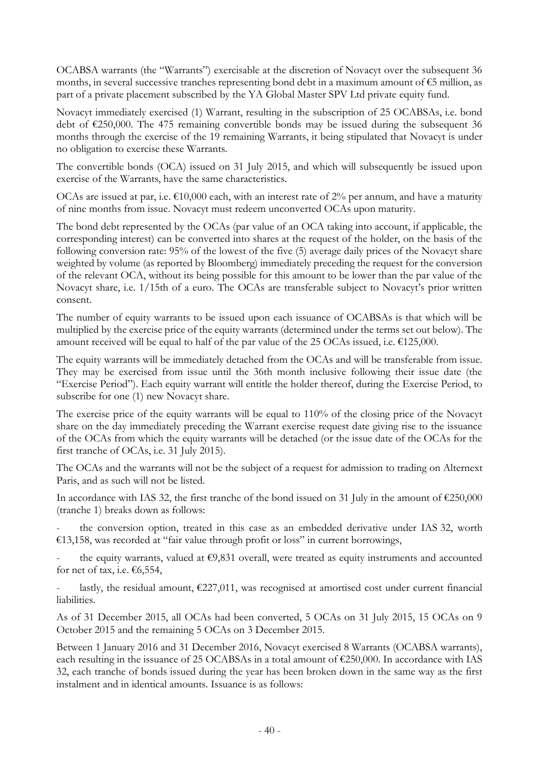OCABSA warrants (the "Warrants") exercisable at the discretion of Novacyt over the subsequent 36 months, in several successive tranches representing bond debt in a maximum amount of €5 million, as part of a private placement subscribed by the YA Global Master SPV Ltd private equity fund.

Novacyt immediately exercised (1) Warrant, resulting in the subscription of 25 OCABSAs, i.e. bond debt of  $\epsilon$ 250,000. The 475 remaining convertible bonds may be issued during the subsequent 36 months through the exercise of the 19 remaining Warrants, it being stipulated that Novacyt is under no obligation to exercise these Warrants.

The convertible bonds (OCA) issued on 31 July 2015, and which will subsequently be issued upon exercise of the Warrants, have the same characteristics.

OCAs are issued at par, i.e.  $\epsilon$ 10,000 each, with an interest rate of 2% per annum, and have a maturity of nine months from issue. Novacyt must redeem unconverted OCAs upon maturity.

The bond debt represented by the OCAs (par value of an OCA taking into account, if applicable, the corresponding interest) can be converted into shares at the request of the holder, on the basis of the following conversion rate: 95% of the lowest of the five (5) average daily prices of the Novacyt share weighted by volume (as reported by Bloomberg) immediately preceding the request for the conversion of the relevant OCA, without its being possible for this amount to be lower than the par value of the Novacyt share, i.e. 1/15th of a euro. The OCAs are transferable subject to Novacyt's prior written consent.

The number of equity warrants to be issued upon each issuance of OCABSAs is that which will be multiplied by the exercise price of the equity warrants (determined under the terms set out below). The amount received will be equal to half of the par value of the 25 OCAs issued, i.e.  $£125,000$ .

The equity warrants will be immediately detached from the OCAs and will be transferable from issue. They may be exercised from issue until the 36th month inclusive following their issue date (the "Exercise Period"). Each equity warrant will entitle the holder thereof, during the Exercise Period, to subscribe for one (1) new Novacyt share.

The exercise price of the equity warrants will be equal to 110% of the closing price of the Novacyt share on the day immediately preceding the Warrant exercise request date giving rise to the issuance of the OCAs from which the equity warrants will be detached (or the issue date of the OCAs for the first tranche of OCAs, i.e. 31 July 2015).

The OCAs and the warrants will not be the subject of a request for admission to trading on Alternext Paris, and as such will not be listed.

In accordance with IAS 32, the first tranche of the bond issued on 31 July in the amount of €250,000 (tranche 1) breaks down as follows:

the conversion option, treated in this case as an embedded derivative under IAS 32, worth €13,158, was recorded at "fair value through profit or loss" in current borrowings,

the equity warrants, valued at  $\epsilon$ 9,831 overall, were treated as equity instruments and accounted for net of tax, i.e. €6,554,

lastly, the residual amount,  $\epsilon$ 227,011, was recognised at amortised cost under current financial liabilities.

As of 31 December 2015, all OCAs had been converted, 5 OCAs on 31 July 2015, 15 OCAs on 9 October 2015 and the remaining 5 OCAs on 3 December 2015.

Between 1 January 2016 and 31 December 2016, Novacyt exercised 8 Warrants (OCABSA warrants), each resulting in the issuance of 25 OCABSAs in a total amount of €250,000. In accordance with IAS 32, each tranche of bonds issued during the year has been broken down in the same way as the first instalment and in identical amounts. Issuance is as follows: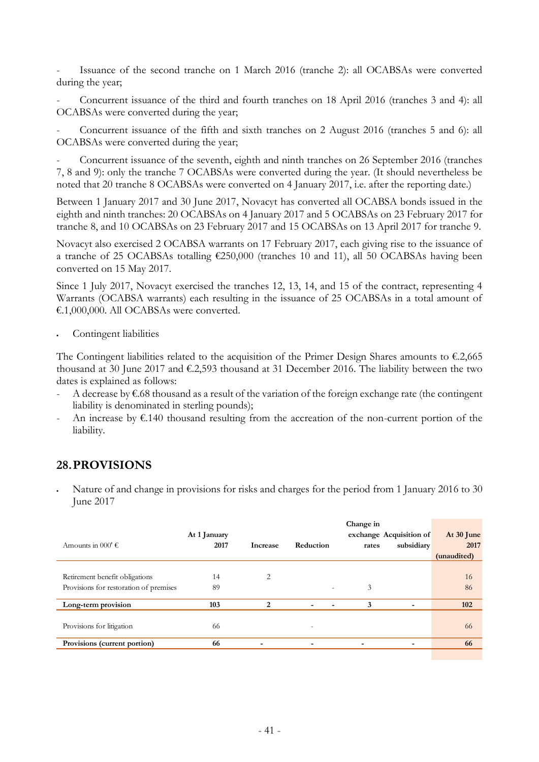Issuance of the second tranche on 1 March 2016 (tranche 2): all OCABSAs were converted during the year;

- Concurrent issuance of the third and fourth tranches on 18 April 2016 (tranches 3 and 4): all OCABSAs were converted during the year;

- Concurrent issuance of the fifth and sixth tranches on 2 August 2016 (tranches 5 and 6): all OCABSAs were converted during the year;

- Concurrent issuance of the seventh, eighth and ninth tranches on 26 September 2016 (tranches 7, 8 and 9): only the tranche 7 OCABSAs were converted during the year. (It should nevertheless be noted that 20 tranche 8 OCABSAs were converted on 4 January 2017, i.e. after the reporting date.)

Between 1 January 2017 and 30 June 2017, Novacyt has converted all OCABSA bonds issued in the eighth and ninth tranches: 20 OCABSAs on 4 January 2017 and 5 OCABSAs on 23 February 2017 for tranche 8, and 10 OCABSAs on 23 February 2017 and 15 OCABSAs on 13 April 2017 for tranche 9.

Novacyt also exercised 2 OCABSA warrants on 17 February 2017, each giving rise to the issuance of a tranche of 25 OCABSAs totalling  $\epsilon$ 250,000 (tranches 10 and 11), all 50 OCABSAs having been converted on 15 May 2017.

Since 1 July 2017, Novacyt exercised the tranches 12, 13, 14, and 15 of the contract, representing 4 Warrants (OCABSA warrants) each resulting in the issuance of 25 OCABSAs in a total amount of €.1,000,000. All OCABSAs were converted.

Contingent liabilities

The Contingent liabilities related to the acquisition of the Primer Design Shares amounts to  $\epsilon$ .2,665 thousand at 30 June 2017 and €.2,593 thousand at 31 December 2016. The liability between the two dates is explained as follows:

- A decrease by  $\epsilon$ .68 thousand as a result of the variation of the foreign exchange rate (the contingent liability is denominated in sterling pounds);
- An increase by  $\epsilon$ .140 thousand resulting from the accreation of the non-current portion of the liability.

## **28.PROVISIONS**

 Nature of and change in provisions for risks and charges for the period from 1 January 2016 to 30 June 2017

|                                        |              |                 |                          | Change in                |                         |             |
|----------------------------------------|--------------|-----------------|--------------------------|--------------------------|-------------------------|-------------|
|                                        | At 1 January |                 |                          |                          | exchange Acquisition of | At 30 June  |
| Amounts in 000' $\epsilon$             | 2017         | <b>Increase</b> | Reduction                | rates                    | subsidiary              | 2017        |
|                                        |              |                 |                          |                          |                         | (unaudited) |
|                                        |              |                 |                          |                          |                         |             |
| Retirement benefit obligations         | 14           | 2               |                          |                          |                         | 16          |
| Provisions for restoration of premises | 89           |                 | $\overline{\phantom{a}}$ | 3                        |                         | 86          |
|                                        |              |                 |                          |                          |                         |             |
| Long-term provision                    | 103          | 2               | $\overline{\phantom{0}}$ | 3                        |                         | 102         |
|                                        |              |                 |                          |                          |                         |             |
| Provisions for litigation              | 66           |                 |                          |                          |                         | 66          |
|                                        |              |                 |                          |                          |                         |             |
| Provisions (current portion)           | 66           |                 | -                        | $\overline{\phantom{a}}$ |                         | 66          |
|                                        |              |                 |                          |                          |                         |             |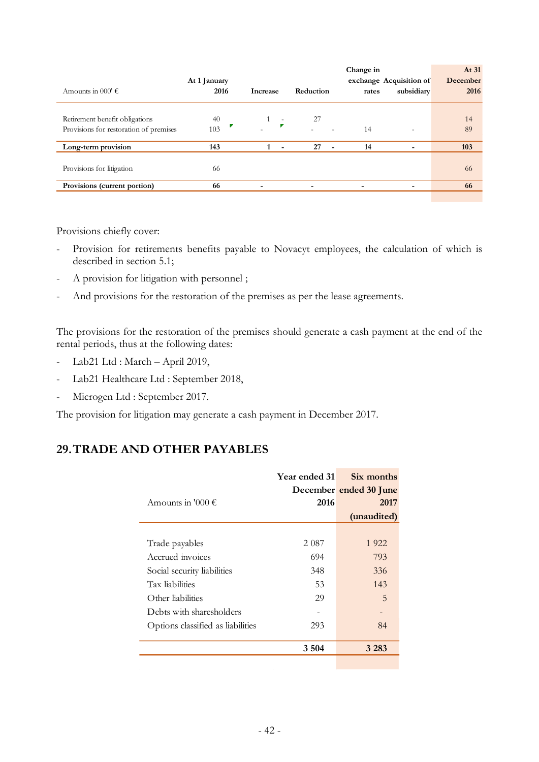|                                        |              |                              |                                | Change in                |                         | At 31    |
|----------------------------------------|--------------|------------------------------|--------------------------------|--------------------------|-------------------------|----------|
|                                        | At 1 January |                              |                                |                          | exchange Acquisition of | December |
| Amounts in 000' $\epsilon$             | 2016         | <b>Increase</b>              | Reduction                      | rates                    | subsidiary              | 2016     |
|                                        |              |                              |                                |                          |                         |          |
|                                        |              |                              |                                |                          |                         |          |
| Retirement benefit obligations         | 40           | $\sim$<br>г                  | 27                             |                          |                         | 14       |
| Provisions for restoration of premises | 103          |                              |                                | 14                       | ۰                       | 89       |
| Long-term provision                    | 143          | $\qquad \qquad \blacksquare$ | 27<br>$\overline{\phantom{a}}$ | 14                       |                         | 103      |
|                                        |              |                              |                                |                          |                         |          |
| Provisions for litigation              | -66          |                              |                                |                          |                         | 66       |
|                                        |              |                              |                                |                          |                         |          |
| Provisions (current portion)           | 66           |                              | -                              | $\overline{\phantom{a}}$ | $\blacksquare$          | 66       |
|                                        |              |                              |                                |                          |                         |          |

Provisions chiefly cover:

- Provision for retirements benefits payable to Novacyt employees, the calculation of which is described in section 5.1;
- A provision for litigation with personnel;
- And provisions for the restoration of the premises as per the lease agreements.

The provisions for the restoration of the premises should generate a cash payment at the end of the rental periods, thus at the following dates:

- Lab21 Ltd : March April 2019,
- Lab21 Healthcare Ltd : September 2018,
- Microgen Ltd : September 2017.

The provision for litigation may generate a cash payment in December 2017.

## **29.TRADE AND OTHER PAYABLES**

|                                   | <b>Year ended 31</b> | Six months             |
|-----------------------------------|----------------------|------------------------|
|                                   |                      | December ended 30 June |
| Amounts in '000 $\epsilon$        | 2016                 | 2017                   |
|                                   |                      | (unaudited)            |
|                                   |                      |                        |
| Trade payables                    | 2 0 8 7              | 1922                   |
| Accrued invoices                  | 694                  | 793                    |
| Social security liabilities       | 348                  | 336                    |
| Tax liabilities                   | 53                   | 143                    |
| Other liabilities                 | 29                   | 5                      |
| Debts with sharesholders          |                      |                        |
| Options classified as liabilities | 293                  | 84                     |
|                                   |                      |                        |
|                                   | 3 5 0 4              | 3 2 8 3                |
|                                   |                      |                        |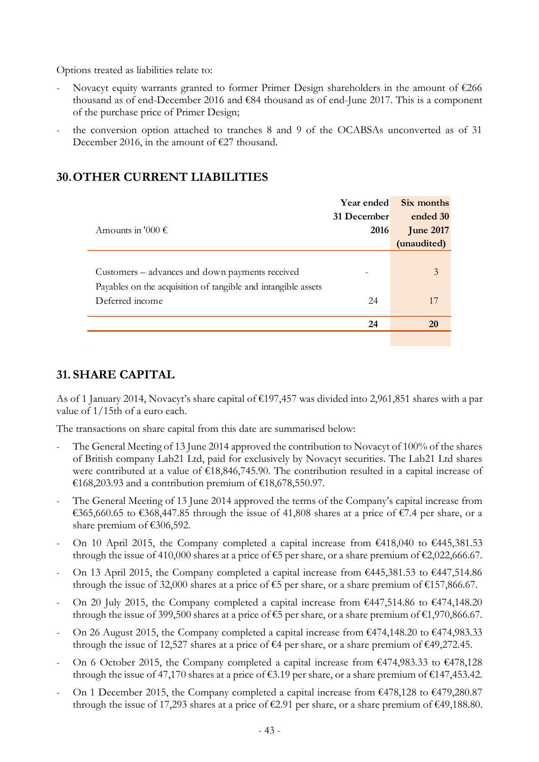Options treated as liabilities relate to:

- Novacyt equity warrants granted to former Primer Design shareholders in the amount of  $\epsilon$ 266 thousand as of end-December 2016 and  $\epsilon$ 84 thousand as of end-June 2017. This is a component of the purchase price of Primer Design;
- the conversion option attached to tranches 8 and 9 of the OCABSAs unconverted as of 31 December 2016, in the amount of €27 thousand.

## **30.OTHER CURRENT LIABILITIES**

|                                                               | <b>Year ended</b> | Six months       |
|---------------------------------------------------------------|-------------------|------------------|
|                                                               | 31 December       | ended 30         |
| Amounts in '000 $\epsilon$                                    | 2016              | <b>June 2017</b> |
|                                                               |                   | (unaudited)      |
|                                                               |                   |                  |
| Customers – advances and down payments received               |                   | 3                |
| Payables on the acquisition of tangible and intangible assets |                   |                  |
| Deferred income                                               | 24                | 17               |
|                                                               |                   |                  |
|                                                               | 24                | 20               |
|                                                               |                   |                  |

## **31. SHARE CAPITAL**

As of 1 January 2014, Novacyt's share capital of €197,457 was divided into 2,961,851 shares with a par value of 1/15th of a euro each.

The transactions on share capital from this date are summarised below:

- The General Meeting of 13 June 2014 approved the contribution to Novacyt of 100% of the shares of British company Lab21 Ltd, paid for exclusively by Novacyt securities. The Lab21 Ltd shares were contributed at a value of €18,846,745.90. The contribution resulted in a capital increase of €168,203.93 and a contribution premium of €18,678,550.97.
- The General Meeting of 13 June 2014 approved the terms of the Company's capital increase from €365,660.65 to €368,447.85 through the issue of 41,808 shares at a price of €7.4 per share, or a share premium of €306,592.
- On 10 April 2015, the Company completed a capital increase from  $\epsilon$ 418,040 to  $\epsilon$ 445,381.53 through the issue of 410,000 shares at a price of  $\epsilon$ 5 per share, or a share premium of  $\epsilon$ 2,022,666.67.
- On 13 April 2015, the Company completed a capital increase from  $\epsilon$ 445,381.53 to  $\epsilon$ 447,514.86 through the issue of 32,000 shares at a price of  $\epsilon$ 5 per share, or a share premium of  $\epsilon$ 157,866.67.
- On 20 July 2015, the Company completed a capital increase from  $\epsilon$ 447,514.86 to  $\epsilon$ 474,148.20 through the issue of 399,500 shares at a price of €5 per share, or a share premium of €1,970,866.67.
- On 26 August 2015, the Company completed a capital increase from  $\epsilon$ 474,148.20 to  $\epsilon$ 474,983.33 through the issue of 12,527 shares at a price of  $\epsilon$ 4 per share, or a share premium of  $\epsilon$ 49,272.45.
- On 6 October 2015, the Company completed a capital increase from  $\epsilon$ 474,983.33 to  $\epsilon$ 478,128 through the issue of 47,170 shares at a price of  $\epsilon$ 3.19 per share, or a share premium of  $\epsilon$ 147,453.42.
- On 1 December 2015, the Company completed a capital increase from  $\epsilon$ 478,128 to  $\epsilon$ 479,280.87 through the issue of 17,293 shares at a price of  $\epsilon$ 2.91 per share, or a share premium of  $\epsilon$ 49,188.80.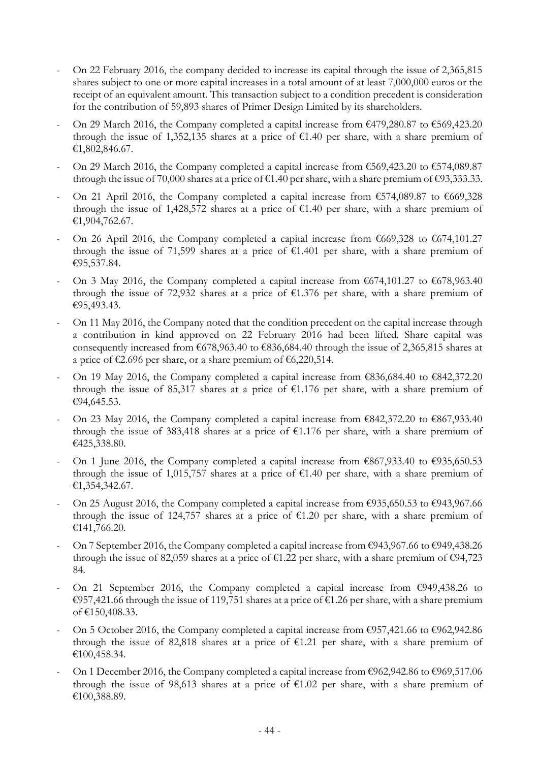- On 22 February 2016, the company decided to increase its capital through the issue of 2,365,815 shares subject to one or more capital increases in a total amount of at least 7,000,000 euros or the receipt of an equivalent amount. This transaction subject to a condition precedent is consideration for the contribution of 59,893 shares of Primer Design Limited by its shareholders.
- On 29 March 2016, the Company completed a capital increase from  $\epsilon$ 479,280.87 to  $\epsilon$ 569,423.20 through the issue of 1,352,135 shares at a price of  $\epsilon$ 1.40 per share, with a share premium of €1,802,846.67.
- On 29 March 2016, the Company completed a capital increase from  $\epsilon$ 569,423.20 to  $\epsilon$ 574,089.87 through the issue of 70,000 shares at a price of  $\epsilon$ 1.40 per share, with a share premium of  $\epsilon$ 93,333.33.
- On 21 April 2016, the Company completed a capital increase from  $\epsilon$ 574,089.87 to  $\epsilon$ 669,328 through the issue of 1,428,572 shares at a price of  $\epsilon$ 1.40 per share, with a share premium of €1,904,762.67.
- On 26 April 2016, the Company completed a capital increase from  $€669,328$  to  $€674,101.27$ through the issue of 71,599 shares at a price of  $\epsilon$ 1.401 per share, with a share premium of €95,537.84.
- On 3 May 2016, the Company completed a capital increase from  $\epsilon$ 674,101.27 to  $\epsilon$ 678,963.40 through the issue of 72,932 shares at a price of  $\epsilon$ 1.376 per share, with a share premium of €95,493.43.
- On 11 May 2016, the Company noted that the condition precedent on the capital increase through a contribution in kind approved on 22 February 2016 had been lifted. Share capital was consequently increased from  $\epsilon$ 678,963.40 to  $\epsilon$ 836,684.40 through the issue of 2,365,815 shares at a price of  $\text{\textsterling}2.696$  per share, or a share premium of  $\text{\textsterling}6,220,514$ .
- On 19 May 2016, the Company completed a capital increase from  $\epsilon$ 836,684.40 to  $\epsilon$ 842,372.20 through the issue of 85,317 shares at a price of  $£1.176$  per share, with a share premium of €94,645.53.
- On 23 May 2016, the Company completed a capital increase from €842,372.20 to €867,933.40 through the issue of 383,418 shares at a price of  $£1.176$  per share, with a share premium of €425,338.80.
- On 1 June 2016, the Company completed a capital increase from  $\epsilon$ 867,933.40 to  $\epsilon$ 935,650.53 through the issue of 1,015,757 shares at a price of  $\epsilon$ 1.40 per share, with a share premium of €1,354,342.67.
- On 25 August 2016, the Company completed a capital increase from €935,650.53 to €943,967.66 through the issue of 124,757 shares at a price of €1.20 per share, with a share premium of €141,766.20.
- On 7 September 2016, the Company completed a capital increase from  $\epsilon$ 943,967.66 to  $\epsilon$ 949,438.26 through the issue of 82,059 shares at a price of  $\epsilon$ 1.22 per share, with a share premium of  $\epsilon$ 94,723 84.
- On 21 September 2016, the Company completed a capital increase from  $\epsilon$ 949,438.26 to €957,421.66 through the issue of 119,751 shares at a price of €1.26 per share, with a share premium of €150,408.33.
- On 5 October 2016, the Company completed a capital increase from €957,421.66 to €962,942.86 through the issue of 82,818 shares at a price of  $\epsilon$ 1.21 per share, with a share premium of €100,458.34.
- On 1 December 2016, the Company completed a capital increase from €962,942.86 to €969,517.06 through the issue of 98,613 shares at a price of  $\epsilon$ 1.02 per share, with a share premium of €100,388.89.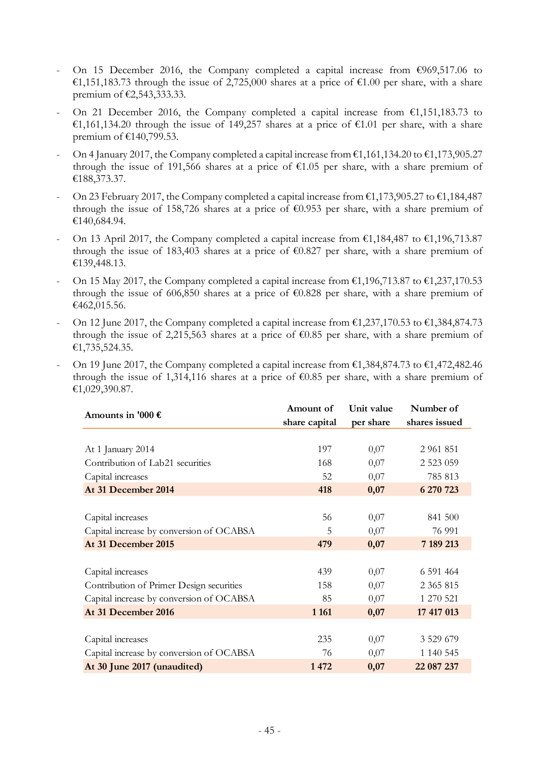- On 15 December 2016, the Company completed a capital increase from  $\epsilon$ 969,517.06 to €1,151,183.73 through the issue of 2,725,000 shares at a price of €1.00 per share, with a share premium of €2,543,333.33.
- On 21 December 2016, the Company completed a capital increase from  $\epsilon$ 1,151,183.73 to €1,161,134,20 through the issue of 149,257 shares at a price of €1.01 per share, with a share premium of €140,799.53.
- On 4 January 2017, the Company completed a capital increase from  $\epsilon$ 1,161,134,20 to  $\epsilon$ 1,173,905.27 through the issue of 191,566 shares at a price of  $\epsilon$ 1.05 per share, with a share premium of €188,373.37.
- On 23 February 2017, the Company completed a capital increase from  $\epsilon$ 1,173,905.27 to  $\epsilon$ 1,184,487 through the issue of 158,726 shares at a price of  $\epsilon$ 0.953 per share, with a share premium of €140,684.94.
- On 13 April 2017, the Company completed a capital increase from  $\epsilon$ 1,184,487 to  $\epsilon$ 1,196,713.87 through the issue of 183,403 shares at a price of  $\epsilon$ 0.827 per share, with a share premium of €139,448.13.
- On 15 May 2017, the Company completed a capital increase from  $\epsilon$ 1,196,713.87 to  $\epsilon$ 1,237,170.53 through the issue of 606,850 shares at a price of  $\epsilon$ 0.828 per share, with a share premium of €462,015.56.
- On 12 June 2017, the Company completed a capital increase from  $\epsilon$ 1,237,170.53 to  $\epsilon$ 1,384,874.73 through the issue of 2,215,563 shares at a price of  $\epsilon$ 0.85 per share, with a share premium of €1,735,524.35.
- On 19 June 2017, the Company completed a capital increase from  $\epsilon$ 1,384,874.73 to  $\epsilon$ 1,472,482.46 through the issue of 1,314,116 shares at a price of  $\epsilon$ 0.85 per share, with a share premium of €1,029,390.87.

| Amounts in '000 $\epsilon$               | Amount of<br>share capital | Unit value<br>per share | Number of<br>shares issued |
|------------------------------------------|----------------------------|-------------------------|----------------------------|
|                                          |                            |                         |                            |
| At 1 January 2014                        | 197                        | 0,07                    | 2 961 851                  |
| Contribution of Lab21 securities         | 168                        | 0,07                    | 2 523 059                  |
| Capital increases                        | 52                         | 0,07                    | 785 813                    |
| At 31 December 2014                      | 418                        | 0,07                    | 6 270 723                  |
|                                          |                            |                         |                            |
| Capital increases                        | 56                         | 0,07                    | 841 500                    |
| Capital increase by conversion of OCABSA | 5                          | 0,07                    | 76 991                     |
| At 31 December 2015                      | 479                        | 0,07                    | 7 189 213                  |
|                                          |                            |                         |                            |
| Capital increases                        | 439                        | 0,07                    | 6 591 464                  |
| Contribution of Primer Design securities | 158                        | 0,07                    | 2 3 6 5 8 1 5              |
| Capital increase by conversion of OCABSA | 85                         | 0,07                    | 1 270 521                  |
| At 31 December 2016                      | 1 1 6 1                    | 0,07                    | 17 417 013                 |
|                                          |                            |                         |                            |
| Capital increases                        | 235                        | 0,07                    | 3 529 679                  |
| Capital increase by conversion of OCABSA | 76                         | 0,07                    | 1 140 545                  |
| At 30 June 2017 (unaudited)              | 1 472                      | 0,07                    | 22 087 237                 |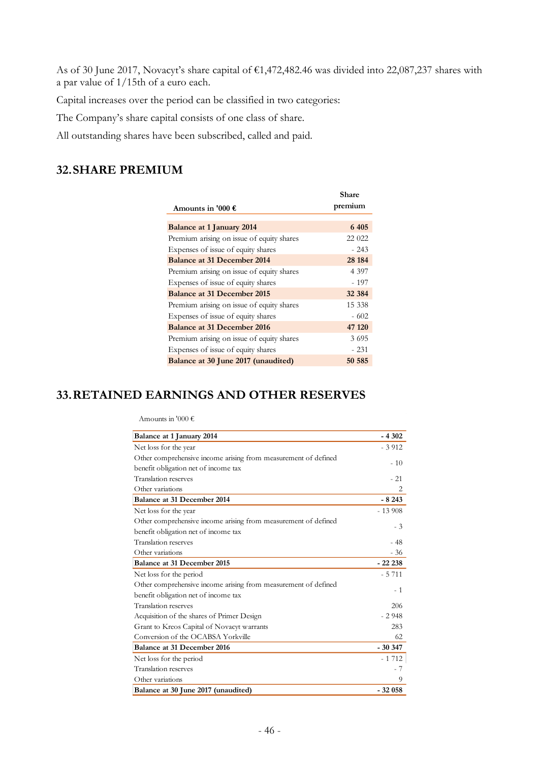As of 30 June 2017, Novacyt's share capital of €1,472,482.46 was divided into 22,087,237 shares with a par value of 1/15th of a euro each.

Capital increases over the period can be classified in two categories:

The Company's share capital consists of one class of share.

All outstanding shares have been subscribed, called and paid.

## **32.SHARE PREMIUM**

| Amounts in '000 $\epsilon$                | Share<br>premium |
|-------------------------------------------|------------------|
|                                           |                  |
| <b>Balance at 1 January 2014</b>          | 6405             |
| Premium arising on issue of equity shares | 22 022           |
| Expenses of issue of equity shares        | $-243$           |
| Balance at 31 December 2014               | 28 184           |
| Premium arising on issue of equity shares | 4 3 9 7          |
| Expenses of issue of equity shares        | $-197$           |
| <b>Balance at 31 December 2015</b>        | 32 384           |
| Premium arising on issue of equity shares | 15 338           |
| Expenses of issue of equity shares        | $-602$           |
| <b>Balance at 31 December 2016</b>        | 47 120           |
| Premium arising on issue of equity shares | 3695             |
| Expenses of issue of equity shares        | - 231            |
| Balance at 30 June 2017 (unaudited)       | 50 585           |

## **33.RETAINED EARNINGS AND OTHER RESERVES**

| Amounts in '000 $\epsilon$                                     |          |
|----------------------------------------------------------------|----------|
| Balance at 1 January 2014                                      | $-4302$  |
| Net loss for the year                                          | $-3912$  |
| Other comprehensive income arising from measurement of defined |          |
| benefit obligation net of income tax                           | $-10$    |
| Translation reserves                                           | $-21$    |
| Other variations                                               | 2        |
| Balance at 31 December 2014                                    | $-8243$  |
| Net loss for the year                                          | $-13908$ |
| Other comprehensive income arising from measurement of defined |          |
| benefit obligation net of income tax                           | $-3$     |
| Translation reserves                                           | $-48$    |
| Other variations                                               | $-36$    |
| Balance at 31 December 2015                                    | $-22238$ |
| Net loss for the period                                        | $-5711$  |
| Other comprehensive income arising from measurement of defined | - 1      |
| benefit obligation net of income tax                           |          |
| <b>Translation reserves</b>                                    | 206      |
| Acquisition of the shares of Primer Design                     | $-2948$  |
| Grant to Kreos Capital of Novacyt warrants                     | 283      |
| Conversion of the OCABSA Yorkville                             | 62       |
| Balance at 31 December 2016                                    | $-30347$ |
| Net loss for the period                                        | $-1712$  |
| Translation reserves                                           | $-7$     |
| Other variations                                               | 9        |
| Balance at 30 June 2017 (unaudited)                            | $-32058$ |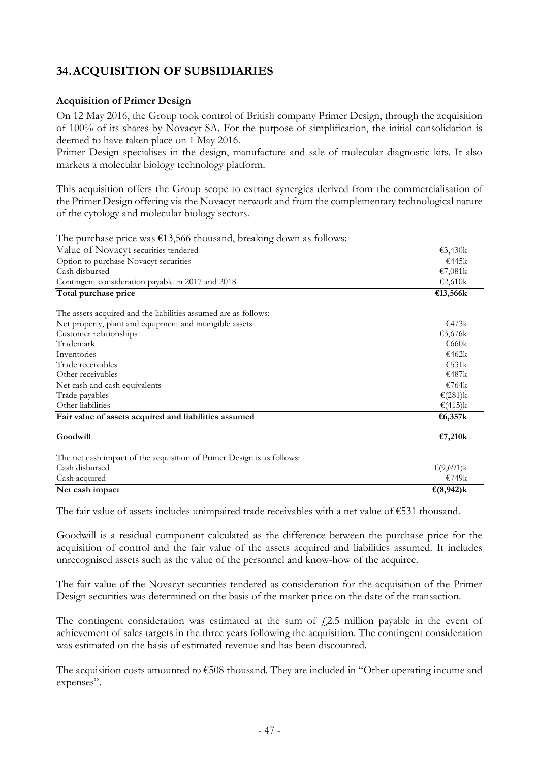## **34.ACQUISITION OF SUBSIDIARIES**

#### **Acquisition of Primer Design**

On 12 May 2016, the Group took control of British company Primer Design, through the acquisition of 100% of its shares by Novacyt SA. For the purpose of simplification, the initial consolidation is deemed to have taken place on 1 May 2016.

Primer Design specialises in the design, manufacture and sale of molecular diagnostic kits. It also markets a molecular biology technology platform.

This acquisition offers the Group scope to extract synergies derived from the commercialisation of the Primer Design offering via the Novacyt network and from the complementary technological nature of the cytology and molecular biology sectors.

The purchase price was  $£13,566$  thousand, breaking down as follows:

| Value of Novacyt securities tendered                                   | €3,430 $k$           |
|------------------------------------------------------------------------|----------------------|
| Option to purchase Novacyt securities                                  | €445k                |
| Cash disbursed                                                         | €7,081 $k$           |
| Contingent consideration payable in 2017 and 2018                      | €2,610 $k$           |
| Total purchase price                                                   | €13,566 $k$          |
| The assets acquired and the liabilities assumed are as follows:        |                      |
| Net property, plant and equipment and intangible assets                | €473 $k$             |
| Customer relationships                                                 | €3,676k              |
| Trademark                                                              | €660k                |
| Inventories                                                            | €462 $k$             |
| Trade receivables                                                      | €531 $k$             |
| Other receivables                                                      | €487 $k$             |
| Net cash and cash equivalents                                          | €764 $k$             |
| Trade payables                                                         | $\epsilon$ (281)k    |
| Other liabilities                                                      | $\epsilon$ (415) $k$ |
| Fair value of assets acquired and liabilities assumed                  | €6,357k              |
| Goodwill                                                               | €7,210 $k$           |
| The net cash impact of the acquisition of Primer Design is as follows: |                      |
| Cash disbursed                                                         | € $(9,691)$ k        |
| Cash acquired                                                          | €749 $\bf k$         |
| Net cash impact                                                        | € $(8,942)$ k        |

The fair value of assets includes unimpaired trade receivables with a net value of €531 thousand.

Goodwill is a residual component calculated as the difference between the purchase price for the acquisition of control and the fair value of the assets acquired and liabilities assumed. It includes unrecognised assets such as the value of the personnel and know-how of the acquiree.

The fair value of the Novacyt securities tendered as consideration for the acquisition of the Primer Design securities was determined on the basis of the market price on the date of the transaction.

The contingent consideration was estimated at the sum of  $f(2.5)$  million payable in the event of achievement of sales targets in the three years following the acquisition. The contingent consideration was estimated on the basis of estimated revenue and has been discounted.

The acquisition costs amounted to €508 thousand. They are included in "Other operating income and expenses".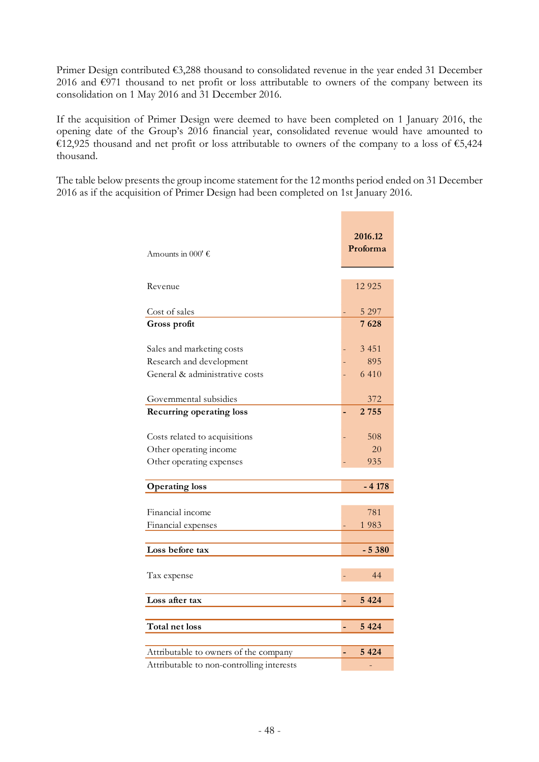Primer Design contributed €3,288 thousand to consolidated revenue in the year ended 31 December 2016 and €971 thousand to net profit or loss attributable to owners of the company between its consolidation on 1 May 2016 and 31 December 2016.

If the acquisition of Primer Design were deemed to have been completed on 1 January 2016, the opening date of the Group's 2016 financial year, consolidated revenue would have amounted to €12,925 thousand and net profit or loss attributable to owners of the company to a loss of €5,424 thousand.

The table below presents the group income statement for the 12 months period ended on 31 December 2016 as if the acquisition of Primer Design had been completed on 1st January 2016.

 $\mathcal{L}_{\mathcal{A}}$ 

÷,

| Amounts in 000' $\epsilon$                                                              | 2016.12<br>Proforma       |
|-----------------------------------------------------------------------------------------|---------------------------|
| Revenue                                                                                 | 12 9 25                   |
| Cost of sales                                                                           | 5 2 9 7                   |
| Gross profit                                                                            | 7628                      |
| Sales and marketing costs<br>Research and development<br>General & administrative costs | 3 4 5 1<br>895<br>6 4 1 0 |
| Governmental subsidies                                                                  | 372                       |
| <b>Recurring operating loss</b>                                                         | 2755                      |
| Costs related to acquisitions<br>Other operating income<br>Other operating expenses     | 508<br>20<br>935          |
| <b>Operating loss</b>                                                                   | $-4178$                   |
| Financial income<br>Financial expenses                                                  | 781<br>1983               |
| Loss before tax                                                                         | $-5380$                   |
| Tax expense                                                                             | 44                        |
| Loss after tax                                                                          | 5 4 2 4                   |
| Total net loss                                                                          | 5 4 2 4<br>$\overline{a}$ |
| Attributable to owners of the company                                                   | 5 4 2 4                   |
| Attributable to non-controlling interests                                               |                           |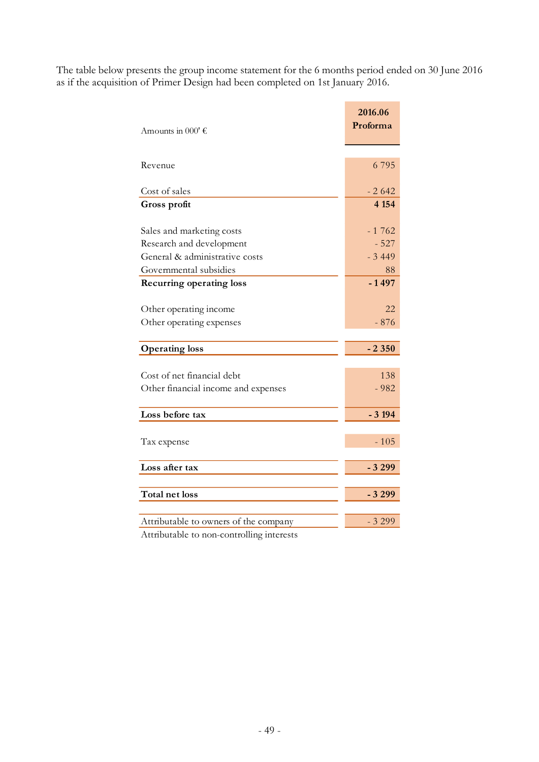The table below presents the group income statement for the 6 months period ended on 30 June 2016 as if the acquisition of Primer Design had been completed on 1st January 2016.

| Amounts in 000' $\epsilon$                            | 2016.06<br>Proforma |
|-------------------------------------------------------|---------------------|
| Revenue                                               | 6795                |
| Cost of sales                                         | $-2642$             |
| Gross profit                                          | 4 1 5 4             |
| Sales and marketing costs<br>Research and development | $-1762$<br>$-527$   |
| General & administrative costs                        | $-3449$             |
| Governmental subsidies                                | 88                  |
| <b>Recurring operating loss</b>                       | $-1497$             |
| Other operating income<br>Other operating expenses    | 22<br>$-876$        |
| <b>Operating loss</b>                                 | $-2350$             |
|                                                       |                     |
| Cost of net financial debt                            | 138                 |
| Other financial income and expenses                   | $-982$              |
| Loss before tax                                       | $-3194$             |
| Tax expense                                           | $-105$              |
| Loss after tax                                        | $-3299$             |
|                                                       |                     |
| Total net loss                                        | $-3299$             |
|                                                       |                     |
| Attributable to owners of the company                 | $-3299$             |
| $\Lambda$ the butchle to non-gentualling interests    |                     |

Attributable to non-controlling interests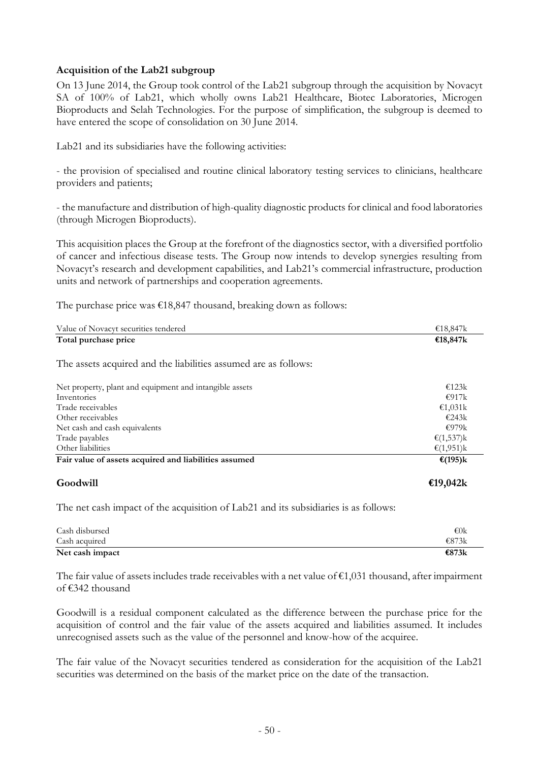#### **Acquisition of the Lab21 subgroup**

On 13 June 2014, the Group took control of the Lab21 subgroup through the acquisition by Novacyt SA of 100% of Lab21, which wholly owns Lab21 Healthcare, Biotec Laboratories, Microgen Bioproducts and Selah Technologies. For the purpose of simplification, the subgroup is deemed to have entered the scope of consolidation on 30 June 2014.

Lab21 and its subsidiaries have the following activities:

- the provision of specialised and routine clinical laboratory testing services to clinicians, healthcare providers and patients;

- the manufacture and distribution of high-quality diagnostic products for clinical and food laboratories (through Microgen Bioproducts).

This acquisition places the Group at the forefront of the diagnostics sector, with a diversified portfolio of cancer and infectious disease tests. The Group now intends to develop synergies resulting from Novacyt's research and development capabilities, and Lab21's commercial infrastructure, production units and network of partnerships and cooperation agreements.

The purchase price was  $£18,847$  thousand, breaking down as follows:

| Value of Novacyt securities tendered                                                | €18,847 $k$   |
|-------------------------------------------------------------------------------------|---------------|
| Total purchase price                                                                | €18,847 $k$   |
| The assets acquired and the liabilities assumed are as follows:                     |               |
| Net property, plant and equipment and intangible assets                             | £123k         |
| Inventories                                                                         | €917 $k$      |
| Trade receivables                                                                   | €1,031k       |
| Other receivables                                                                   | €243k         |
| Net cash and cash equivalents                                                       | €979 $k$      |
| Trade payables                                                                      | € $(1,537)$ k |
| Other liabilities                                                                   | € $(1,951)$ k |
| Fair value of assets acquired and liabilities assumed                               | €(195) $k$    |
| Goodwill                                                                            | €19,042 $k$   |
| The net cash impact of the acquisition of Lab21 and its subsidiaries is as follows: |               |

| Cash disbursed | €0 $k$   |
|----------------|----------|
| Cash acquired  | €873 $k$ |

| Net cash impact | €873 $k$ |
|-----------------|----------|

The fair value of assets includes trade receivables with a net value of  $\epsilon$ 1,031 thousand, after impairment of €342 thousand

Goodwill is a residual component calculated as the difference between the purchase price for the acquisition of control and the fair value of the assets acquired and liabilities assumed. It includes unrecognised assets such as the value of the personnel and know-how of the acquiree.

The fair value of the Novacyt securities tendered as consideration for the acquisition of the Lab21 securities was determined on the basis of the market price on the date of the transaction.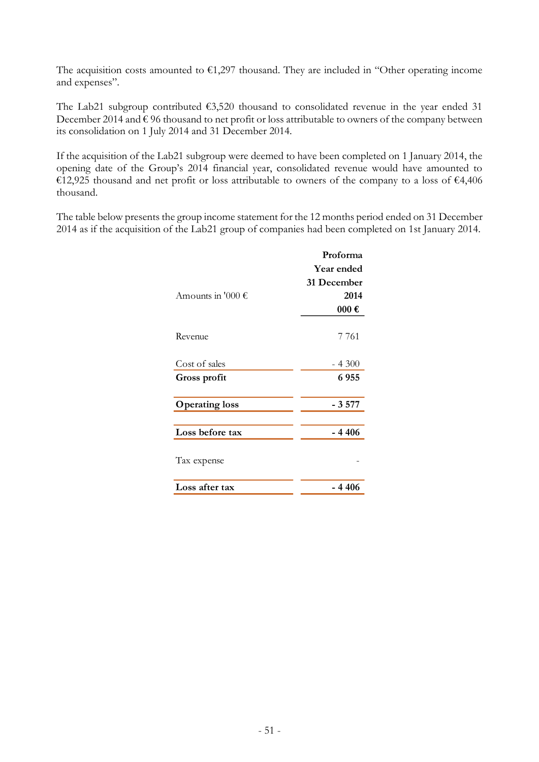The acquisition costs amounted to  $\epsilon$ 1,297 thousand. They are included in "Other operating income and expenses".

The Lab21 subgroup contributed  $63,520$  thousand to consolidated revenue in the year ended 31 December 2014 and  $\epsilon$  96 thousand to net profit or loss attributable to owners of the company between its consolidation on 1 July 2014 and 31 December 2014.

If the acquisition of the Lab21 subgroup were deemed to have been completed on 1 January 2014, the opening date of the Group's 2014 financial year, consolidated revenue would have amounted to  $\epsilon$ 12,925 thousand and net profit or loss attributable to owners of the company to a loss of  $\epsilon$ 4,406 thousand.

The table below presents the group income statement for the 12 months period ended on 31 December 2014 as if the acquisition of the Lab21 group of companies had been completed on 1st January 2014.

|                            | Proforma           |
|----------------------------|--------------------|
|                            | Year ended         |
|                            | 31 December        |
| Amounts in '000 $\epsilon$ | 2014               |
|                            | $000 \text{ } \in$ |
|                            |                    |
| Revenue                    | 7 7 6 1            |
|                            |                    |
| Cost of sales              | $-4300$            |
| Gross profit               | 6955               |
|                            |                    |
| <b>Operating loss</b>      | - 3 577            |
|                            |                    |
| Loss before tax            | $-4406$            |
|                            |                    |
| Tax expense                |                    |
|                            |                    |
| Loss after tax             | - 4 406            |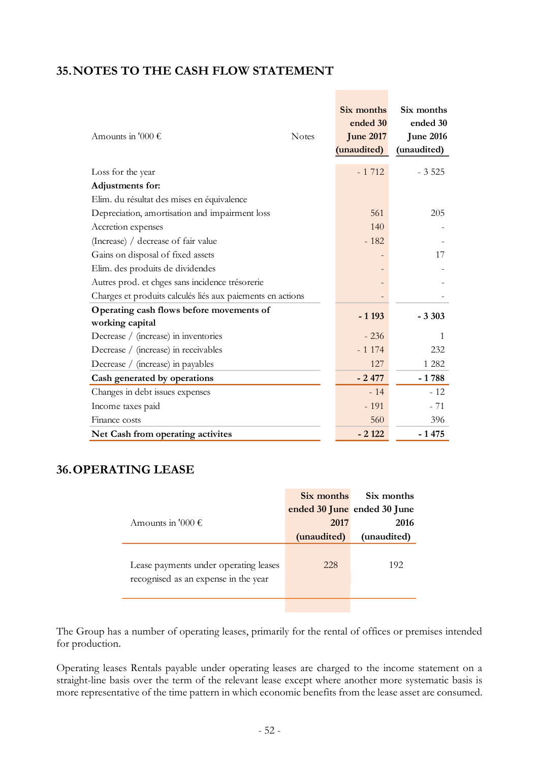## **35.NOTES TO THE CASH FLOW STATEMENT**

| Amounts in '000 $\epsilon$<br><b>Notes</b>                  | Six months<br>ended 30<br><b>June 2017</b><br>(unaudited) | Six months<br>ended 30<br><b>June 2016</b><br>(unaudited) |
|-------------------------------------------------------------|-----------------------------------------------------------|-----------------------------------------------------------|
| Loss for the year                                           | $-1712$                                                   | $-3525$                                                   |
| Adjustments for:                                            |                                                           |                                                           |
| Elim. du résultat des mises en équivalence                  |                                                           |                                                           |
| Depreciation, amortisation and impairment loss              | 561                                                       | 205                                                       |
| Accretion expenses                                          | 140                                                       |                                                           |
| (Increase) / decrease of fair value                         | $-182$                                                    |                                                           |
| Gains on disposal of fixed assets                           |                                                           | 17                                                        |
| Elim. des produits de dividendes                            |                                                           |                                                           |
| Autres prod. et chges sans incidence trésorerie             |                                                           |                                                           |
| Charges et produits calculés liés aux paiements en actions  |                                                           |                                                           |
| Operating cash flows before movements of<br>working capital | $-1193$                                                   | $-3303$                                                   |
| Decrease / (increase) in inventories                        | $-236$                                                    | 1                                                         |
| Decrease / (increase) in receivables                        | $-1174$                                                   | 232                                                       |
| Decrease / (increase) in payables                           | 127                                                       | 1 2 8 2                                                   |
| Cash generated by operations                                | $-2477$                                                   | $-1788$                                                   |
| Changes in debt issues expenses                             | $-14$                                                     | $-12$                                                     |
| Income taxes paid                                           | $-191$                                                    | $-71$                                                     |
| Finance costs                                               | 560                                                       | 396                                                       |
| Net Cash from operating activites                           | $-2122$                                                   | - 1 475                                                   |

### **36.OPERATING LEASE**

|                                                                               | Six months  | Six months                  |
|-------------------------------------------------------------------------------|-------------|-----------------------------|
|                                                                               |             | ended 30 June ended 30 June |
| Amounts in '000 $\epsilon$                                                    | 2017        | 2016                        |
|                                                                               | (unaudited) | (unaudited)                 |
| Lease payments under operating leases<br>recognised as an expense in the year | 228         | 192                         |
|                                                                               |             |                             |

The Group has a number of operating leases, primarily for the rental of offices or premises intended for production.

Operating leases Rentals payable under operating leases are charged to the income statement on a straight-line basis over the term of the relevant lease except where another more systematic basis is more representative of the time pattern in which economic benefits from the lease asset are consumed.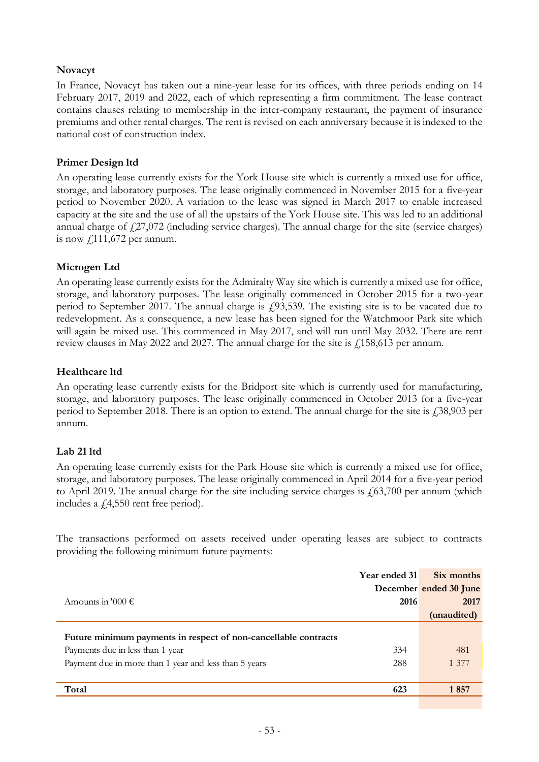#### **Novacyt**

In France, Novacyt has taken out a nine-year lease for its offices, with three periods ending on 14 February 2017, 2019 and 2022, each of which representing a firm commitment. The lease contract contains clauses relating to membership in the inter-company restaurant, the payment of insurance premiums and other rental charges. The rent is revised on each anniversary because it is indexed to the national cost of construction index.

#### **Primer Design ltd**

An operating lease currently exists for the York House site which is currently a mixed use for office, storage, and laboratory purposes. The lease originally commenced in November 2015 for a five-year period to November 2020. A variation to the lease was signed in March 2017 to enable increased capacity at the site and the use of all the upstairs of the York House site. This was led to an additional annual charge of  $f_{27,072}$  (including service charges). The annual charge for the site (service charges) is now  $\sqrt{111,672}$  per annum.

#### **Microgen Ltd**

An operating lease currently exists for the Admiralty Way site which is currently a mixed use for office, storage, and laboratory purposes. The lease originally commenced in October 2015 for a two-year period to September 2017. The annual charge is £93,539. The existing site is to be vacated due to redevelopment. As a consequence, a new lease has been signed for the Watchmoor Park site which will again be mixed use. This commenced in May 2017, and will run until May 2032. There are rent review clauses in May 2022 and 2027. The annual charge for the site is  $\ell$ 158,613 per annum.

#### **Healthcare ltd**

An operating lease currently exists for the Bridport site which is currently used for manufacturing, storage, and laboratory purposes. The lease originally commenced in October 2013 for a five-year period to September 2018. There is an option to extend. The annual charge for the site is  $\hat{\gamma}$ 38,903 per annum.

#### **Lab 21 ltd**

An operating lease currently exists for the Park House site which is currently a mixed use for office, storage, and laboratory purposes. The lease originally commenced in April 2014 for a five-year period to April 2019. The annual charge for the site including service charges is  $\frac{1}{6}63,700$  per annum (which includes a  $\text{\textsterling}4,550$  rent free period).

The transactions performed on assets received under operating leases are subject to contracts providing the following minimum future payments:

|                                                                 | Year ended 31 | Six months             |
|-----------------------------------------------------------------|---------------|------------------------|
|                                                                 |               | December ended 30 June |
| Amounts in '000 $\epsilon$                                      | 2016          | 2017                   |
|                                                                 |               | (unaudited)            |
| Future minimum payments in respect of non-cancellable contracts |               |                        |
| Payments due in less than 1 year                                | 334           | 481                    |
| Payment due in more than 1 year and less than 5 years           | 288           | 1 377                  |
|                                                                 |               |                        |
| Total                                                           | 623           | 1857                   |
|                                                                 |               |                        |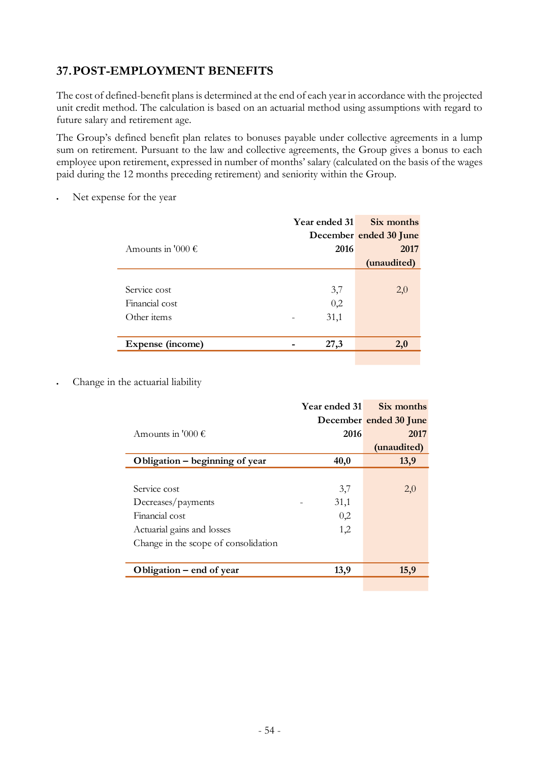## **37.POST-EMPLOYMENT BENEFITS**

The cost of defined-benefit plans is determined at the end of each year in accordance with the projected unit credit method. The calculation is based on an actuarial method using assumptions with regard to future salary and retirement age.

The Group's defined benefit plan relates to bonuses payable under collective agreements in a lump sum on retirement. Pursuant to the law and collective agreements, the Group gives a bonus to each employee upon retirement, expressed in number of months' salary (calculated on the basis of the wages paid during the 12 months preceding retirement) and seniority within the Group.

Net expense for the year

|                            | Year ended 31 | Six months             |
|----------------------------|---------------|------------------------|
|                            |               | December ended 30 June |
| Amounts in '000 $\epsilon$ | 2016          | 2017                   |
|                            |               | (unaudited)            |
|                            |               |                        |
| Service cost               | 3,7           | 2,0                    |
| Financial cost             | 0,2           |                        |
| Other items                | 31,1          |                        |
|                            |               |                        |
| Expense (income)           | 27,3          | 2,0                    |
|                            |               |                        |

Change in the actuarial liability

|                                      | Year ended 31 | Six months             |
|--------------------------------------|---------------|------------------------|
|                                      |               | December ended 30 June |
| Amounts in '000 $\epsilon$           | 2016          | 2017                   |
|                                      |               | (unaudited)            |
| Obligation – beginning of year       | 40,0          | 13,9                   |
|                                      |               |                        |
| Service cost                         | 3,7           | 2,0                    |
| Decreases/payments                   | 31,1          |                        |
| Financial cost                       | 0,2           |                        |
| Actuarial gains and losses           | 1,2           |                        |
| Change in the scope of consolidation |               |                        |
|                                      |               |                        |
| Obligation – end of year             | 13,9          | 15,9                   |
|                                      |               |                        |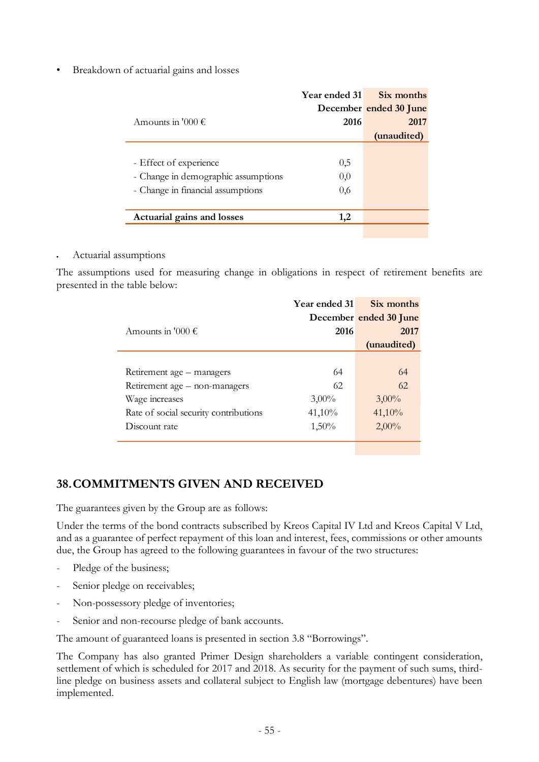• Breakdown of actuarial gains and losses

|                                     | <b>Year ended 31</b> | Six months             |
|-------------------------------------|----------------------|------------------------|
|                                     |                      | December ended 30 June |
| Amounts in '000 $\epsilon$          | 2016                 | 2017                   |
|                                     |                      | (unaudited)            |
|                                     |                      |                        |
| - Effect of experience              | 0,5                  |                        |
| - Change in demographic assumptions | 0,0                  |                        |
| - Change in financial assumptions   | 0,6                  |                        |
|                                     |                      |                        |
| Actuarial gains and losses          | 1,2                  |                        |
|                                     |                      |                        |

#### Actuarial assumptions

The assumptions used for measuring change in obligations in respect of retirement benefits are presented in the table below:

|                                       | <b>Year ended 31</b> | Six months             |
|---------------------------------------|----------------------|------------------------|
|                                       |                      | December ended 30 June |
| Amounts in '000 $\epsilon$            | 2016                 | 2017                   |
|                                       |                      | (unaudited)            |
|                                       |                      |                        |
| Retirement age – managers             | 64                   | 64                     |
| Retirement age – non-managers         | 62                   | 62                     |
| Wage increases                        | $3,00\%$             | $3,00\%$               |
| Rate of social security contributions | 41,10%               | 41,10%                 |
| Discount rate                         | $1,50\%$             | $2,00\%$               |
|                                       |                      |                        |

## **38.COMMITMENTS GIVEN AND RECEIVED**

The guarantees given by the Group are as follows:

Under the terms of the bond contracts subscribed by Kreos Capital IV Ltd and Kreos Capital V Ltd, and as a guarantee of perfect repayment of this loan and interest, fees, commissions or other amounts due, the Group has agreed to the following guarantees in favour of the two structures:

- Pledge of the business;
- Senior pledge on receivables;
- Non-possessory pledge of inventories;
- Senior and non-recourse pledge of bank accounts.

The amount of guaranteed loans is presented in section 3.8 "Borrowings".

The Company has also granted Primer Design shareholders a variable contingent consideration, settlement of which is scheduled for 2017 and 2018. As security for the payment of such sums, thirdline pledge on business assets and collateral subject to English law (mortgage debentures) have been implemented.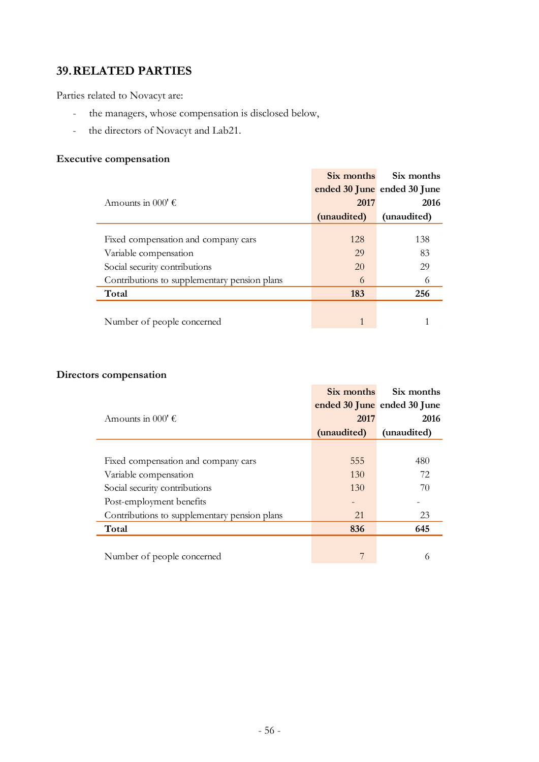## **39.RELATED PARTIES**

Parties related to Novacyt are:

- the managers, whose compensation is disclosed below,
- the directors of Novacyt and Lab21.

### **Executive compensation**

|                                              | Six months  | Six months                  |
|----------------------------------------------|-------------|-----------------------------|
|                                              |             | ended 30 June ended 30 June |
| Amounts in 000' $\epsilon$                   | 2017        | 2016                        |
|                                              | (unaudited) | (unaudited)                 |
|                                              |             |                             |
| Fixed compensation and company cars          | 128         | 138                         |
| Variable compensation                        | 29          | 83                          |
| Social security contributions                | 20          | 29                          |
| Contributions to supplementary pension plans | 6           | 6                           |
| Total                                        | 183         | 256                         |
|                                              |             |                             |
| Number of people concerned                   |             |                             |

### **Directors compensation**

|                                              | Six months  | Six months                  |
|----------------------------------------------|-------------|-----------------------------|
|                                              |             | ended 30 June ended 30 June |
| Amounts in 000' $\epsilon$                   | 2017        | 2016                        |
|                                              | (unaudited) | (unaudited)                 |
|                                              |             |                             |
| Fixed compensation and company cars          | 555         | 480                         |
| Variable compensation                        | 130         | 72                          |
| Social security contributions                | 130         | 70                          |
| Post-employment benefits                     |             |                             |
| Contributions to supplementary pension plans | 21          | 23                          |
| Total                                        | 836         | 645                         |
|                                              |             |                             |
| Number of people concerned                   | 7           | 6                           |